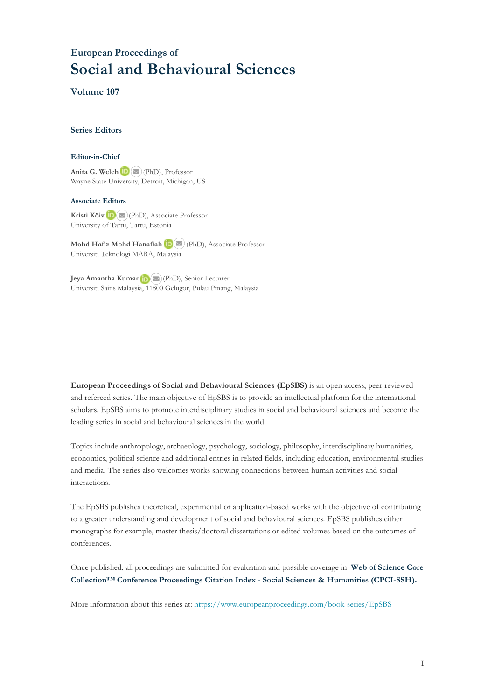## **European Proceedings of Social and Behavioural Sciences**

**Volume 107**

### **Series Editors**

#### **Editor-in-Chief**

**Anita G. Welch**(PhD), Professor Wayne State University, Detroit, Michigan, US

### **Associate Editors**

**Kristi Köiv** (PhD), Associate Professor University of Tartu, Tartu, Estonia

**MohdHafiz Mohd Hanafiah** (PhD), Associate Professor Universiti Teknologi MARA, Malaysia

**Jeya Amantha Kumar** (PhD), Senior Lecturer Universiti Sains Malaysia, 1[1800](mailto:amantha@usm.my) Gelugor, Pulau Pinang, Malaysia

**European Proceedings of Social and Behavioural Sciences (EpSBS)** is an open access, peer-reviewed and refereed series. The main objective of EpSBS is to provide an intellectual platform for the international scholars. EpSBS aims to promote interdisciplinary studies in social and behavioural sciences and become the leading series in social and behavioural sciences in the world.

Topics include anthropology, archaeology, psychology, sociology, philosophy, interdisciplinary humanities, economics, political science and additional entries in related fields, including education, environmental studies and media. The series also welcomes works showing connections between human activities and social interactions.

The EpSBS publishes theoretical, experimental or application-based works with the objective of contributing to a greater understanding and development of social and behavioural sciences. EpSBS publishes either monographs for example, master thesis/doctoral dissertations or edited volumes based on the outcomes of conferences.

Once published, all proceedings are submitted for evaluation and possible coverage in **[Web of Science](https://clarivate.com/webofsciencegroup/solutions/webofscience-cpci/) Core Collection™ Conference [Proceedings Citation Index - Social Sciences & Humanities](https://clarivate.com/webofsciencegroup/solutions/webofscience-cpci/) (CPCI-SSH).**

More information about this series at[: https://www.europeanproceedings.com/book-series/EpSBS](https://www.europeanproceedings.com/book-series/EpSBS)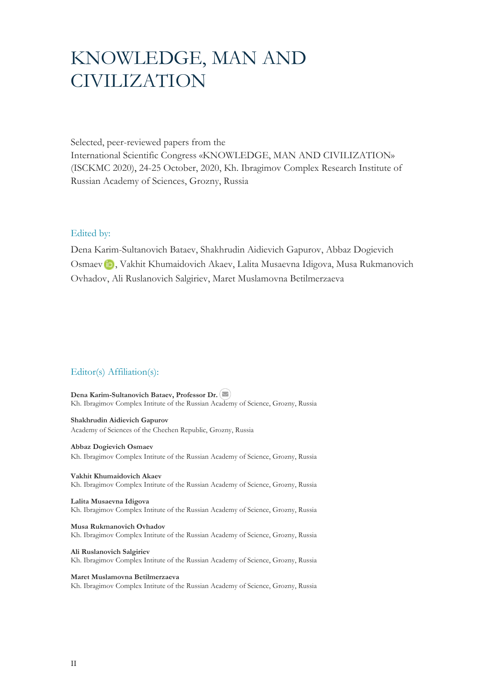# KNOWLEDGE, MAN AND CIVILIZATION

Selected, peer-reviewed papers from the International Scientific Congress «KNOWLEDGE, MAN AND CIVILIZATION» (ISCKMC 2020), 24-25 October, 2020, Kh. Ibragimov Complex Research Institute of Russian Academy of Sciences, Grozny, Russia

## Edited by:

Dena Karim-Sultanovich Bataev, Shakhrudin Aidievich Gapurov, Abbaz Dogievich Osmaevin, Vakhit Khumaidovich Akaev, Lalita Musaevna Idigova, Musa Rukmanovich Ovhadov, Ali Ruslanovich Salgiriev, Maret Muslamovna Betilmerzaeva

## Editor(s) Affiliation(s):

**Dena Karim-Sultanovich Bataev, Professor Dr.** Kh. Ibragimov Complex Intitute of the Russian Academy of Science, Grozny, Russia

**Shakhrudin Aidievich Gapurov** Academy of Sciences of the Chechen Republic, Grozny, Russia

**Abbaz Dogievich Osmaev** Kh. Ibragimov Complex Intitute of the Russian Academy of Science, Grozny, Russia

**Vakhit Khumaidovich Akaev**  Kh. Ibragimov Complex Intitute of the Russian Academy of Science, Grozny, Russia

**Lalita Musaevna Idigova**  Kh. Ibragimov Complex Intitute of the Russian Academy of Science, Grozny, Russia

**Musa Rukmanovich Ovhadov** Kh. Ibragimov Complex Intitute of the Russian Academy of Science, Grozny, Russia

**Ali Ruslanovich Salgiriev**  Kh. Ibragimov Complex Intitute of the Russian Academy of Science, Grozny, Russia

**Maret Muslamovna Betilmerzaeva**  Kh. Ibragimov Complex Intitute of the Russian Academy of Science, Grozny, Russia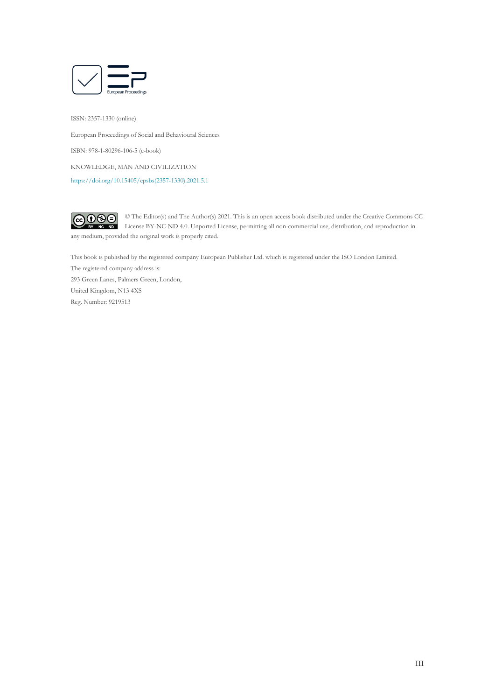

ISSN: 2357-1330 (online) European Proceedings of Social and Behavioural Sciences ISBN: 978-1-80296-106-5 (e-book) KNOWLEDGE, MAN AND CIVILIZATION [https://doi.org/10.15405/epsbs\(2357-1330\).2021.5.1](https://doi.org/10.15405/epsbs(2357-1330).2021.5.1)



This book is published by the registered company European Publisher Ltd. which is registered under the ISO London Limited. The registered company address is: 293 Green Lanes, Palmers Green, London, United Kingdom, N13 4XS Reg. Number: 9219513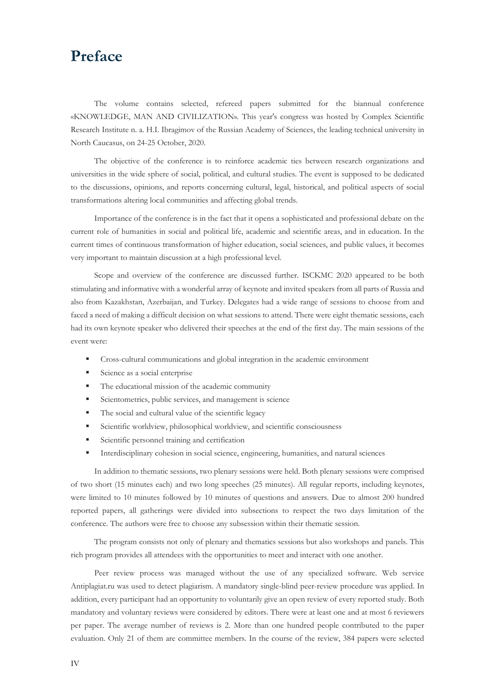## **Preface**

The volume contains selected, refereed papers submitted for the biannual conference «KNOWLEDGE, MAN AND CIVILIZATION». This year's congress was hosted by Complex Scientific Research Institute n. a. H.I. Ibragimov of the Russian Academy of Sciences, the leading technical university in North Caucasus, on 24-25 October, 2020.

The objective of the conference is to reinforce academic ties between research organizations and universities in the wide sphere of social, political, and cultural studies. The event is supposed to be dedicated to the discussions, opinions, and reports concerning cultural, legal, historical, and political aspects of social transformations altering local communities and affecting global trends.

Importance of the conference is in the fact that it opens a sophisticated and professional debate on the current role of humanities in social and political life, academic and scientific areas, and in education. In the current times of continuous transformation of higher education, social sciences, and public values, it becomes very important to maintain discussion at a high professional level.

Scope and overview of the conference are discussed further. ISCKMC 2020 appeared to be both stimulating and informative with a wonderful array of keynote and invited speakers from all parts of Russia and also from Kazakhstan, Azerbaijan, and Turkey. Delegates had a wide range of sessions to choose from and faced a need of making a difficult decision on what sessions to attend. There were eight thematic sessions, each had its own keynote speaker who delivered their speeches at the end of the first day. The main sessions of the event were:

- Cross-cultural communications and global integration in the academic environment
- Science as a social enterprise
- The educational mission of the academic community
- Scientometrics, public services, and management is science
- The social and cultural value of the scientific legacy
- Scientific worldview, philosophical worldview, and scientific consciousness
- Scientific personnel training and certification
- Interdisciplinary cohesion in social science, engineering, humanities, and natural sciences

In addition to thematic sessions, two plenary sessions were held. Both plenary sessions were comprised of two short (15 minutes each) and two long speeches (25 minutes). All regular reports, including keynotes, were limited to 10 minutes followed by 10 minutes of questions and answers. Due to almost 200 hundred reported papers, all gatherings were divided into subsections to respect the two days limitation of the conference. The authors were free to choose any subsession within their thematic session.

The program consists not only of plenary and thematics sessions but also workshops and panels. This rich program provides all attendees with the opportunities to meet and interact with one another.

Peer review process was managed without the use of any specialized software. Web service Antiplagiat.ru was used to detect plagiarism. A mandatory single-blind peer-review procedure was applied. In addition, every participant had an opportunity to voluntarily give an open review of every reported study. Both mandatory and voluntary reviews were considered by editors. There were at least one and at most 6 reviewers per paper. The average number of reviews is 2. More than one hundred people contributed to the paper evaluation. Only 21 of them are committee members. In the course of the review, 384 papers were selected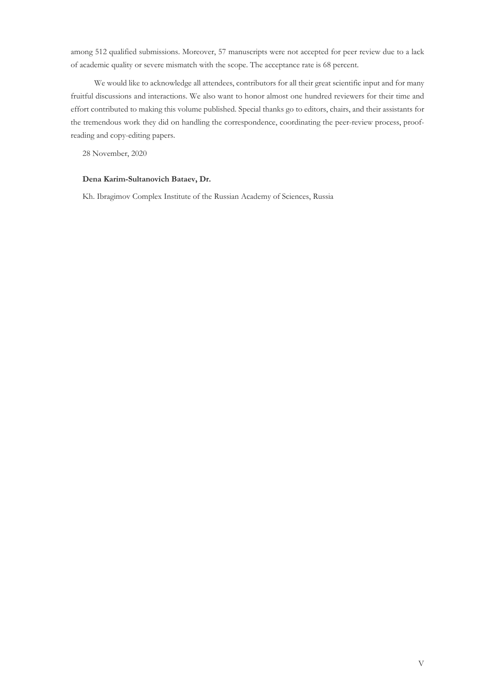among 512 qualified submissions. Moreover, 57 manuscripts were not accepted for peer review due to a lack of academic quality or severe mismatch with the scope. The acceptance rate is 68 percent.

We would like to acknowledge all attendees, contributors for all their great scientific input and for many fruitful discussions and interactions. We also want to honor almost one hundred reviewers for their time and effort contributed to making this volume published. Special thanks go to editors, chairs, and their assistants for the tremendous work they did on handling the correspondence, coordinating the peer-review process, proofreading and copy-editing papers.

28 November, 2020

## **Dena Karim-Sultanovich Bataev, Dr.**

Kh. Ibragimov Complex Institute of the Russian Academy of Sciences, Russia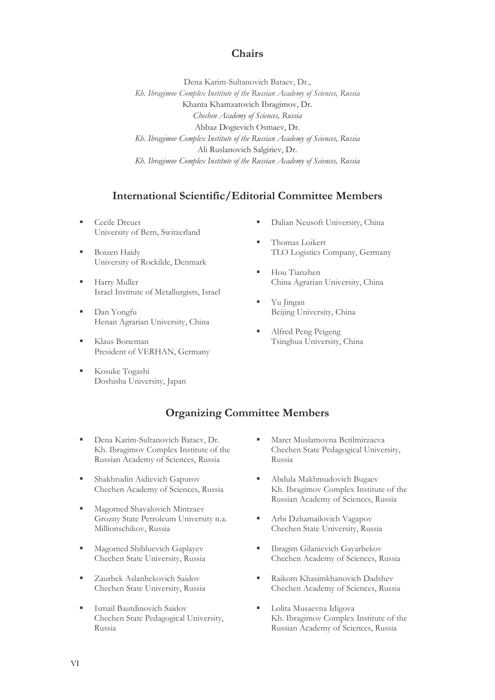## **Chairs**

Dena Karim-Sultanovich Bataev, Dr., *Kh. Ibragimov Complex Institute of the Russian Academy of Sciences, Russia* Khanta Khamzatovich Ibragimov, Dr. *Chechen Academy of Sciences, Russia* Abbaz Dogievich Osmaev, Dr. *Kh. Ibragimov Complex Institute of the Russian Academy of Sciences, Russia* Ali Ruslanovich Salgiriev, Dr. *Kh. Ibragimov Complex Institute of the Russian Academy of Sciences, Russia*

## **International Scientific/Editorial Committee Members**

- Cecile Dreuet University of Bern, Switzerland
- Boizen Haidy University of Rockilde, Denmark
- **Harry Muller** Israel Institute of Metallurgists, Israel
- Dan Yongfu Henan Agrarian University, China
- Klaus Boneman President of VERHAN, Germany
- Kosuke Togashi Doshisha University, Japan
- Dalian Neusoft University, China
- Thomas Loikert TLO Logistics Company, Germany
- Hou Tianzhen China Agrarian University, China
- Yu Jingan Beijing University, China
- Alfred Peng Peigeng Tsinghua University, China

## **Organizing Committee Members**

- **Dena Karim-Sultanovich Bataev, Dr.** Kh. Ibragimov Complex Institute of the Russian Academy of Sciences, Russia
- Shakhrudin Aidievich Gapurov Chechen Academy of Sciences, Russia
- Magomed Shavalovich Mintzaev Grozny State Petroleum University n.a. Millionschikov, Russia
- Magomed Shibluevich Gaplayev Chechen State University, Russia
- Zaurbek Aslanbekovich Saidov Chechen State University, Russia
- Ismail Bautdinovich Saidov Chechen State Pedagogical University, Russia
- Maret Muslamovna Betilmirzaeva Chechen State Pedagogical University, Russia
- Abdula Makhmudovich Bugaev Kh. Ibragimov Complex Institute of the Russian Academy of Sciences, Russia
- Arbi Dzhamailovich Vagapov Chechen State University, Russia
- Ibragim Gilanievich Gayarbekov Chechen Academy of Sciences, Russia
- Raikom Khasimkhanovich Dadshev Chechen Academy of Sciences, Russia
- Lolita Musaevna Idigova Kh. Ibragimov Complex Institute of the Russian Academy of Sciences, Russia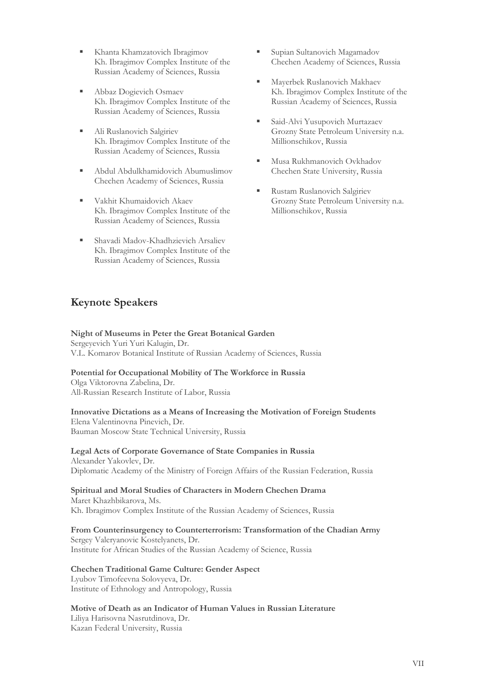- Khanta Khamzatovich Ibragimov Kh. Ibragimov Complex Institute of the Russian Academy of Sciences, Russia
- Abbaz Dogievich Osmaev Kh. Ibragimov Complex Institute of the Russian Academy of Sciences, Russia
- Ali Ruslanovich Salgiriev Kh. Ibragimov Complex Institute of the Russian Academy of Sciences, Russia
- Abdul Abdulkhamidovich Abumuslimov Chechen Academy of Sciences, Russia
- Vakhit Khumaidovich Akaev Kh. Ibragimov Complex Institute of the Russian Academy of Sciences, Russia
- Shavadi Madov-Khadhzievich Arsaliev Kh. Ibragimov Complex Institute of the Russian Academy of Sciences, Russia
- Supian Sultanovich Magamadov Chechen Academy of Sciences, Russia
- Mayerbek Ruslanovich Makhaev Kh. Ibragimov Complex Institute of the Russian Academy of Sciences, Russia
- Said-Alvi Yusupovich Murtazaev Grozny State Petroleum University n.a. Millionschikov, Russia
- Musa Rukhmanovich Ovkhadov Chechen State University, Russia
- Rustam Ruslanovich Salgiriev Grozny State Petroleum University n.a. Millionschikov, Russia

## **Keynote Speakers**

## **Night of Museums in Peter the Great Botanical Garden**

Sergeyevich Yuri Yuri Kalugin, Dr. V.L. Komarov Botanical Institute of Russian Academy of Sciences, Russia

## **Potential for Occupational Mobility of The Workforce in Russia**

Olga Viktorovna Zabelina, Dr. All-Russian Research Institute of Labor, Russia

### **Innovative Dictations as a Means of Increasing the Motivation of Foreign Students** Elena Valentinovna Pinevich, Dr.

Bauman Moscow State Technical University, Russia

## **Legal Acts of Corporate Governance of State Companies in Russia**

Alexander Yakovlev, Dr. Diplomatic Academy of the Ministry of Foreign Affairs of the Russian Federation, Russia

**Spiritual and Moral Studies of Characters in Modern Chechen Drama** Maret Khazhbikarova, Ms. Kh. Ibragimov Complex Institute of the Russian Academy of Sciences, Russia

## **From Counterinsurgency to Counterterrorism: Transformation of the Chadian Army**

Sergey Valeryanovic Kostelyanets, Dr. Institute for African Studies of the Russian Academy of Science, Russia

## **Chechen Traditional Game Culture: Gender Aspect**

Lyubov Timofeevna Solovyeva, Dr. Institute of Ethnology and Antropology, Russia

## **Motive of Death as an Indicator of Human Values in Russian Literature**

Liliya Harisovna Nasrutdinova, Dr. Kazan Federal University, Russia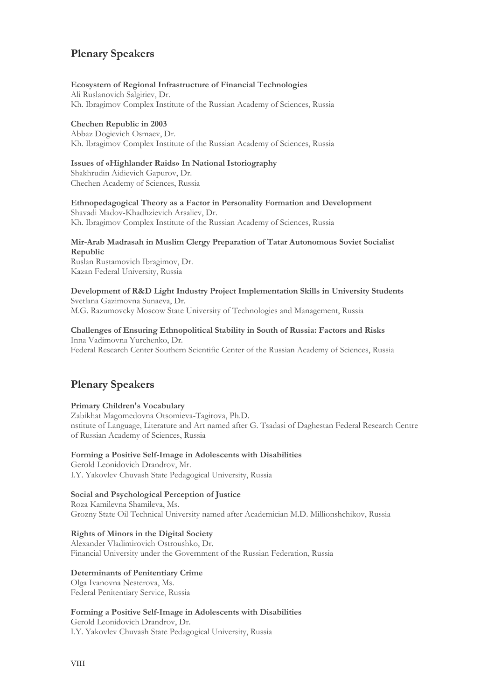## **Plenary Speakers**

### **Ecosystem of Regional Infrastructure of Financial Technologies**

Ali Ruslanovich Salgiriev, Dr. Kh. Ibragimov Complex Institute of the Russian Academy of Sciences, Russia

## **Chechen Republic in 2003**

Abbaz Dogievich Osmaev, Dr. Kh. Ibragimov Complex Institute of the Russian Academy of Sciences, Russia

### **Issues of «Highlander Raids» In National Istoriography**

Shakhrudin Aidievich Gapurov, Dr. Chechen Academy of Sciences, Russia

**Ethnopedagogical Theory as a Factor in Personality Formation and Development** Shavadi Madov-Khadhzievich Arsaliev, Dr. Kh. Ibragimov Complex Institute of the Russian Academy of Sciences, Russia

## **Mir-Arab Madrasah in Muslim Clergy Preparation of Tatar Autonomous Soviet Socialist Republic**

Ruslan Rustamovich Ibragimov, Dr. Kazan Federal University, Russia

### **Development of R&D Light Industry Project Implementation Skills in University Students**  Svetlana Gazimovna Sunaeva, Dr.

M.G. Razumovcky Moscow State University of Technologies and Management, Russia

### **Challenges of Ensuring Ethnopolitical Stability in South of Russia: Factors and Risks**  Inna Vadimovna Yurchenko, Dr.

Federal Research Center Southern Scientific Center of the Russian Academy of Sciences, Russia

## **Plenary Speakers**

## **Primary Children's Vocabulary** Zabikhat Magomedovna Otsomieva-Tagirova, Ph.D. nstitute of Language, Literature and Art named after G. Tsadasi of Daghestan Federal Research Centre of Russian Academy of Sciences, Russia

## **Forming a Positive Self-Image in Adolescents with Disabilities**

Gerold Leonidovich Drandrov, Mr. I.Y. Yakovlev Chuvash State Pedagogical University, Russia

## **Social and Psychological Perception of Justice**

Roza Kamilevna Shamileva, Ms. Grozny State Oil Technical University named after Academician M.D. Millionshchikov, Russia

## **Rights of Minors in the Digital Society**

Alexander Vladimirovich Ostroushko, Dr. Financial University under the Government of the Russian Federation, Russia

## **Determinants of Penitentiary Crime**

Olga Ivanovna Nesterova, Ms. Federal Penitentiary Service, Russia

## **Forming a Positive Self-Image in Adolescents with Disabilities**

Gerold Leonidovich Drandrov, Dr. I.Y. Yakovlev Chuvash State Pedagogical University, Russia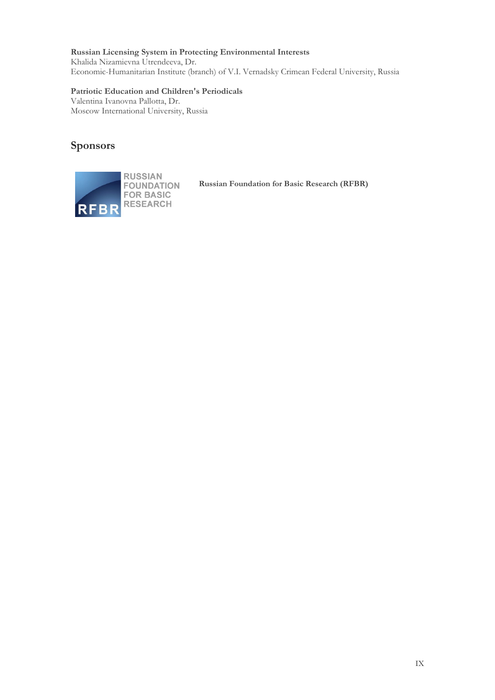## **Russian Licensing System in Protecting Environmental Interests**

Khalida Nizamievna Utrendeeva, Dr. Economic-Humanitarian Institute (branch) of V.I. Vernadsky Crimean Federal University, Russia

## **Patriotic Education and Children's Periodicals**

Valentina Ivanovna Pallotta, Dr. Moscow International University, Russia

## **Sponsors**



**Russian Foundation for Basic Research (RFBR)**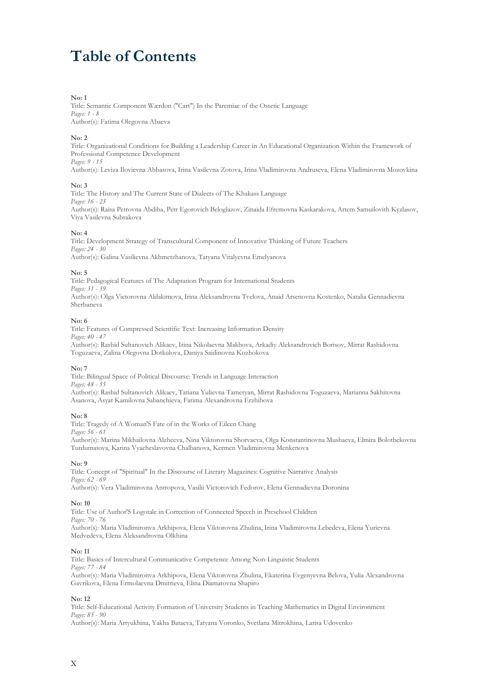# **Table of Contents**

#### **No: 1**

Title: Semantic Component Wærdon ("Cart") In the Paremiae of the Ossetic Language *Pages: 1 - 8*  Author(s): Fatima Olegovna Abaeva

#### **No: 2**

Title: Organizational Conditions for Building a Leadership Career in An Educational Organization Within the Framework of Professional Competence Development *Pages: 9 - 15*

Author(s): Leviza Ilovievna Abbasova, Irina Vasilevna Zotova, Irina Vladimirovna Andruseva, Elena Vladimirovna Mozovkina

#### **No: 3**

Title: The History and The Current State of Dialects of The Khakass Language *Pages: 16 - 23* Author(s): Raisa Petrovna Abdiba, Petr Egorovich Beloglazov, Zinaida Efremovna Kaskarakova, Artem Samuilovith Kyzlasov, Viya Vasilevna Subrakova

#### **No: 4**

Title: Development Strategy of Transcultural Component of Innovative Thinking of Future Teachers *Pages: 24 - 30* Author(s): Galina Vasilievna Akhmetzhanova, Tatyana Vitalyevna Emelyanova

#### **No: 5**

Title: Pedagogical Features of The Adaptation Program for International Students *Pages: 31 - 39* Author(s): Olga Victorovna Aldakimova, Irina Aleksandrovna Tvelova, Anaid Arsenovna Kostenko, Natalia Gennadievna Sherbaneva

#### **No: 6**

Title: Features of Compressed Scientific Text: Increasing Information Density *Pages: 40 - 47* Author(s): Rashid Sultanovich Alikaev, Irina Nikolaevna Makhova, Arkadiy Aleksandrovich Borisov, Mirrat Rashidovna Toguzaeva, Zalina Olegovna Dotkulova, Daniya Saidinovna Kozhokova

#### **No: 7**

Title: Bilingual Space of Political Discourse: Trends in Language Interaction *Pages: 48 - 55* Author(s): Rashid Sultanovich Alikaev, Tatiana Yulievna Tameryan, Mirrat Rashidovna Toguzaeva, Marianna Sakhitovna Asanova, Asyat Kamilovna Sabanchieva, Fatima Alexandrovna Erzhibova

#### **No: 8**

Title: Tragedy of A Woman'S Fate of in the Works of Eileen Chang *Pages: 56 - 61*

Author(s): Marina Mikhailovna Alzheeva, Nina Viktorovna Shorvaeva, Olga Konstantinovna Mushaeva, Elmira Bolotbekovna Turdumatova, Karina Vyacheslavovna Chalbanova, Kermen Vladimirovna Menkenova

#### **No: 9**

Title: Concept of "Spiritual" In the Discourse of Literary Magazines: Cognitive Narrative Analysis *Pages: 62 - 69* Author(s): Vera Vladimirovna Antropova, Vasilii Victorovich Fedorov, Elena Gennadievna Doronina

#### **No: 10**

Title: Use of Author'S Logotale in Correction of Connected Speech in Preschool Children *Pages: 70 - 76* Author(s): Maria Vladimironva Arkhipova, Elena Viktorovna Zhulina, Irina Vladimirovna Lebedeva, Elena Yurievna Medvedeva, Elena Aleksandrovna Olkhina

#### **No: 11**

Title: Basics of Intercultural Communicative Competence Among Non-Linguistic Students *Pages: 77 - 84* Author(s): Maria Vladimironva Arkhipova, Elena Viktorovna Zhulina, Ekaterina Evgenyevna Belova, Yulia Alexandrovna Gavrikova, Elena Ermolaevna Dmitrieva, Elina Diamatovna Shapiro

#### **No: 12**

Title: Self-Educational Activity Formation of University Students in Teaching Mathematics in Digital Environment *Pages: 85 - 90*

Author(s): Maria Artyukhina, Yakha Bataeva, Tatyana Voronko, Svetlana Mitrokhina, Larisa Udovenko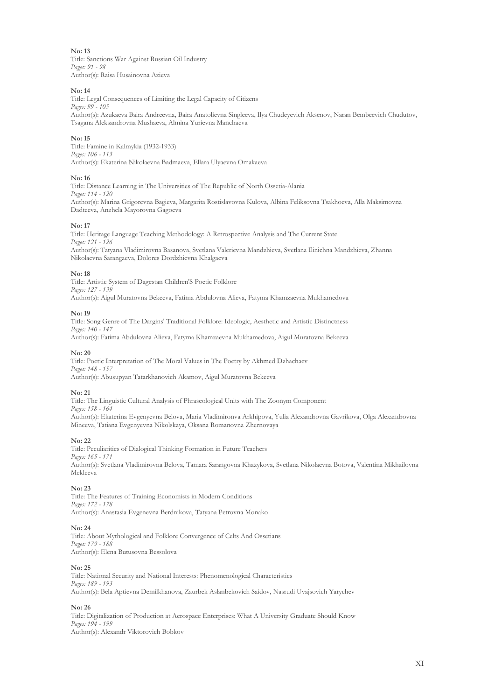Title: Sanctions War Against Russian Oil Industry *Pages: 91 - 98* Author(s): Raisa Husainovna Azieva

#### **No: 14**

Title: Legal Consequences of Limiting the Legal Capacity of Citizens *Pages: 99 - 105* Author(s): Azukaeva Baira Andreevna, Baira Anatolievna Singleeva, Ilya Chudeyevich Aksenov, Naran Bembeevich Chudutov, Tsagana Aleksandrovna Mushaeva, Almina Yurievna Manchaeva

#### **No: 15**

Title: Famine in Kalmykia (1932-1933) *Pages: 106 - 113* Author(s): Ekaterina Nikolaevna Badmaeva, Ellara Ulyaevna Omakaeva

#### **No: 16**

Title: Distance Learning in The Universities of The Republic of North Ossetia-Alania *Pages: 114 - 120* Author(s): Marina Grigorevna Bagieva, Margarita Rostislavovna Kulova, Albina Feliksovna Tsakhoeva, Alla Maksimovna Dadteeva, Anzhela Mayorovna Gagoeva

#### **No: 17**

Title: Heritage Language Teaching Methodology: A Retrospective Analysis and The Current State *Pages: 121 - 126* Author(s): Tatyana Vladimirovna Basanova, Svetlana Valerievna Mandzhieva, Svetlana Ilinichna Mandzhieva, Zhanna Nikolaevna Sarangaeva, Dolores Dordzhievna Khalgaeva

#### **No: 18**

Title: Artistic System of Dagestan Children'S Poetic Folklore *Pages: 127 - 139* Author(s): Aigul Muratovna Bekeeva, Fatima Abdulovna Alieva, Fatyma Khamzaevna Mukhamedova

#### **No: 19**

Title: Song Genre of The Dargins' Traditional Folklore: Ideologic, Aesthetic and Artistic Distinctness *Pages: 140 - 147* Author(s): Fatima Abdulovna Alieva, Fatyma Khamzaevna Mukhamedova, Aigul Muratovna Bekeeva

#### **No: 20**

Title: Poetic Interpretation of The Moral Values in The Poetry by Akhmed Dzhachaev *Pages: 148 - 157* Author(s): Abusupyan Tatarkhanovich Akamov, Aigul Muratovna Bekeeva

#### **No: 21**

Title: The Linguistic Cultural Analysis of Phraseological Units with The Zoonym Component *Pages: 158 - 164* Author(s): Ekaterina Evgenyevna Belova, Maria Vladimironva Arkhipova, Yulia Alexandrovna Gavrikova, Olga Alexandrovna Mineeva, Tatiana Evgenyevna Nikolskaya, Oksana Romanovna Zhernovaya

#### **No: 22**

Title: Peculiarities of Dialogical Thinking Formation in Future Teachers *Pages: 165 - 171* Author(s): Svetlana Vladimirovna Belova, Tamara Sarangovna Khazykova, Svetlana Nikolaevna Botova, Valentina Mikhailovna Mekleeva

#### **No: 23**

Title: The Features of Training Economists in Modern Conditions *Pages: 172 - 178* Author(s): Anastasia Evgenevna Berdnikova, Tatyana Petrovna Monako

#### **No: 24**

Title: About Mythological and Folklore Convergence of Celts And Ossetians *Pages: 179 - 188* Author(s): Elena Butusovna Bessolova

#### **No: 25**

Title: National Security and National Interests: Phenomenological Characteristics *Pages: 189 - 193* Author(s): Bela Aptievna Demilkhanova, Zaurbek Aslanbekovich Saidov, Nasrudi Uvajsovich Yarychev

#### **No: 26**

Title: Digitalization of Production at Aerospace Enterprises: What A University Graduate Should Know *Pages: 194 - 199* Author(s): Alexandr Viktorovich Bobkov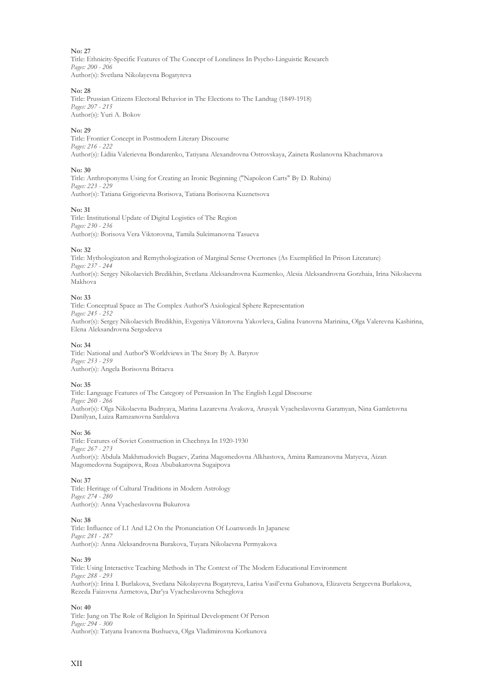Title: Ethnicity-Specific Features of The Concept of Loneliness In Psycho-Linguistic Research *Pages: 200 - 206* Author(s): Svetlana Nikolayevna Bogatyreva

#### **No: 28**

Title: Prussian Citizens Electoral Behavior in The Elections to The Landtag (1849-1918) *Pages: 207 - 215* Author(s): Yuri A. Bokov

#### **No: 29**

Title: Frontier Concept in Postmodern Literary Discourse *Pages: 216 - 222* Author(s): Lidiia Valerievna Bondarenko, Tatiyana Alexandrovna Ostrovskaya, Zaineta Ruslanovna Khachmarova

#### **No: 30**

Title: Anthroponyms Using for Creating an Ironic Beginning ("Napoleon Carts" By D. Rubina) *Pages: 223 - 229* Author(s): Tatiana Grigorievna Borisova, Tatiana Borisovna Kuznetsova

#### **No: 31**

Title: Institutional Update of Digital Logistics of The Region *Pages: 230 - 236* Author(s): Borisova Vera Viktorovna, Tamila Suleimanovna Tasueva

#### **No: 32**

Title: Mythologizaton and Remythologization of Marginal Sense Overtones (As Exemplified In Prison Literature) *Pages: 237 - 244* Author(s): Sergey Nikolaevich Bredikhin, Svetlana Aleksandrovna Kuzmenko, Alesia Aleksandrovna Gorzhaia, Irina Nikolaevna Makhova

#### **No: 33**

Title: Conceptual Space as The Complex Author'S Axiological Sphere Representation *Pages: 245 - 252* Author(s): Sergey Nikolaevich Bredikhin, Evgeniya Viktorovna Yakovleva, Galina Ivanovna Marinina, Olga Valerevna Kashirina, Elena Aleksandrovna Sergodeeva

#### **No: 34**

Title: National and Author'S Worldviews in The Story By A. Batyrov *Pages: 253 - 259* Author(s): Angela Borisovna Britaeva

#### **No: 35**

Title: Language Features of The Category of Persuasion In The English Legal Discourse *Pages: 260 - 266* Author(s): Olga Nikolaevna Budnyaya, Marina Lazarevna Avakova, Arusyak Vyacheslavovna Garamyan, Nina Gamletovna Danilyan, Luiza Ramzanovna Sardalova

#### **No: 36**

Title: Features of Soviet Construction in Chechnya In 1920-1930 *Pages: 267 - 273* Author(s): Abdula Makhmudovich Bugaev, Zarina Magomedovna Alkhastova, Amina Ramzanovna Matyeva, Aizan Magomedovna Sugaipova, Roza Abubakarovna Sugaipova

#### **No: 37**

Title: Heritage of Cultural Traditions in Modern Astrology *Pages: 274 - 280* Author(s): Anna Vyacheslavovna Bukurova

#### **No: 38**

Title: Influence of L1 And L2 On the Pronunciation Of Loanwords In Japanese *Pages: 281 - 287* Author(s): Anna Aleksandrovna Burakova, Tuyara Nikolaevna Permyakova

#### **No: 39**

Title: Using Interactive Teaching Methods in The Context of The Modern Educational Environment *Pages: 288 - 293* Author(s): Irina I. Burlakova, Svetlana Nikolayevna Bogatyreva, Larisa Vasil'evna Gubanova, Elizaveta Sergeevna Burlakova, Rezeda Faizovna Azmetova, Dar'ya Vyacheslavovna Scheglova

#### **No: 40**

Title: Jung on The Role of Religion In Spiritual Development Of Person *Pages: 294 - 300* Author(s): Tatyana Ivanovna Bushueva, Olga Vladimirovna Korkunova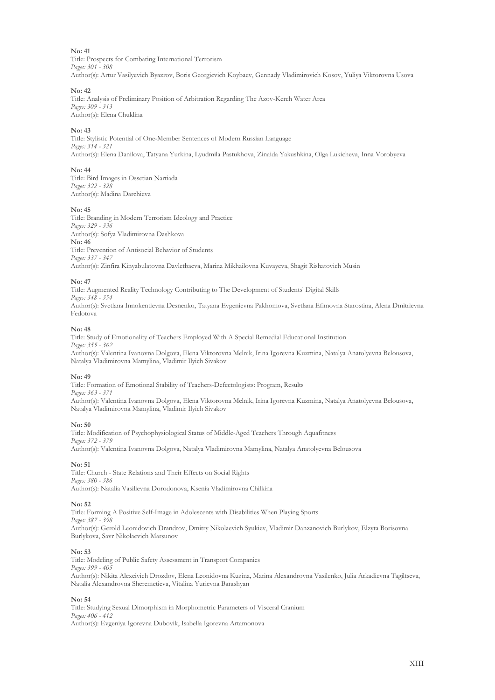Title: Prospects for Combating International Terrorism *Pages: 301 - 308* Author(s): Artur Vasilyevich Byazrov, Boris Georgievich Koybaev, Gennady Vladimirovich Kosov, Yuliya Viktorovna Usova

#### **No: 42**

Title: Analysis of Preliminary Position of Arbitration Regarding The Azov-Kerch Water Area *Pages: 309 - 313* Author(s): Elena Chuklina

#### **No: 43**

Title: Stylistic Potential of One-Member Sentences of Modern Russian Language *Pages: 314 - 321* Author(s): Elena Danilova, Tatyana Yurkina, Lyudmila Pastukhova, Zinaida Yakushkina, Olga Lukicheva, Inna Vorobyeva

#### **No: 44**

Title: Bird Images in Ossetian Nartiada *Pages: 322 - 328* Author(s): Madina Darchieva

#### **No: 45**

Title: Branding in Modern Terrorism Ideology and Practice *Pages: 329 - 336* Author(s): Sofya Vladimirovna Dashkova **No: 46** Title: Prevention of Antisocial Behavior of Students *Pages: 337 - 347* Author(s): Zinfira Kinyabulatovna Davletbaeva, Marina Mikhailovna Kuvayeva, Shagit Rishatovich Musin

#### **No: 47**

Title: Augmented Reality Technology Contributing to The Development of Students' Digital Skills *Pages: 348 - 354*

Author(s): Svetlana Innokentievna Desnenko, Tatyana Evgenievna Pakhomova, Svetlana Efimovna Starostina, Alena Dmitrievna Fedotova

#### **No: 48**

Title: Study of Emotionality of Teachers Employed With A Special Remedial Educational Institution *Pages: 355 - 362* Author(s): Valentina Ivanovna Dolgova, Elena Viktorovna Melnik, Irina Igorevna Kuzmina, Natalya Anatolyevna Belousova, Natalya Vladimirovna Mamylina, Vladimir Ilyich Sivakov

#### **No: 49**

Title: Formation of Emotional Stability of Teachers-Defectologists: Program, Results *Pages: 363 - 371* Author(s): Valentina Ivanovna Dolgova, Elena Viktorovna Melnik, Irina Igorevna Kuzmina, Natalya Anatolyevna Belousova, Natalya Vladimirovna Mamylina, Vladimir Ilyich Sivakov

#### **No: 50**

Title: Modification of Psychophysiological Status of Middle-Aged Teachers Through Aquafitness *Pages: 372 - 379* Author(s): Valentina Ivanovna Dolgova, Natalya Vladimirovna Mamylina, Natalya Anatolyevna Belousova

#### **No: 51**

Title: Church - State Relations and Their Effects on Social Rights *Pages: 380 - 386* Author(s): Natalia Vasilievna Dorodonova, Ksenia Vladimirovna Chilkina

#### **No: 52**

Title: Forming A Positive Self-Image in Adolescents with Disabilities When Playing Sports *Pages: 387 - 398* Author(s): Gerold Leonidovich Drandrov, Dmitry Nikolaevich Syukiev, Vladimir Danzanovich Burlykov, Elzyta Borisovna Burlykova, Savr Nikolaevich Marsunov

#### **No: 53**

Title: Modeling of Public Safety Assessment in Transport Companies *Pages: 399 - 405* Author(s): Nikita Alexeivich Drozdov, Elena Leonidovna Kuzina, Marina Alexandrovna Vasilenko, Julia Arkadievna Tagiltseva, Natalia Alexandrovna Sheremetieva, Vitalina Yurievna Barashyan

#### **No: 54**

Title: Studying Sexual Dimorphism in Morphometric Parameters of Visceral Cranium *Pages: 406 - 412* Author(s): Evgeniya Igorevna Dubovik, Isabella Igorevna Artamonova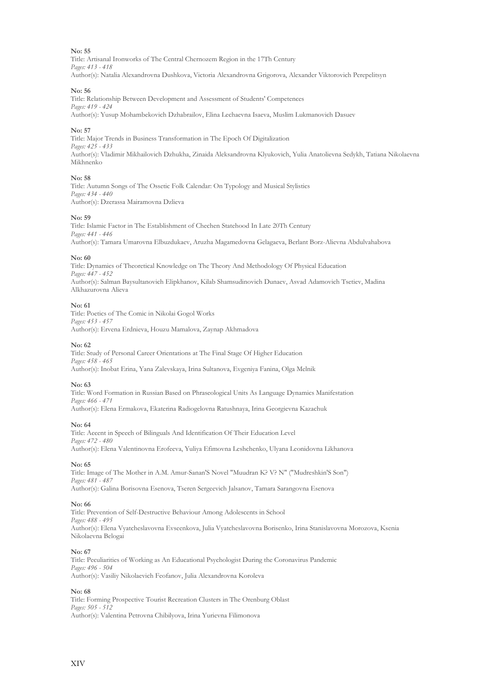Title: Artisanal Ironworks of The Central Chernozem Region in the 17Th Century *Pages: 413 - 418* Author(s): Natalia Alexandrovna Dushkova, Victoria Alexandrovna Grigorova, Alexander Viktorovich Perepelitsyn

#### **No: 56**

Title: Relationship Between Development and Assessment of Students' Competences *Pages: 419 - 424* Author(s): Yusup Mohambekovich Dzhabrailov, Elina Lechaevna Isaeva, Muslim Lukmanovich Dasuev

#### **No: 57**

Title: Major Trends in Business Transformation in The Epoch Of Digitalization *Pages: 425 - 433* Author(s): Vladimir Mikhailovich Dzhukha, Zinaida Aleksandrovna Klyukovich, Yulia Anatolievna Sedykh, Tatiana Nikolaevna Mikhnenko

#### **No: 58**

Title: Autumn Songs of The Ossetic Folk Calendar: On Typology and Musical Stylistics *Pages: 434 - 440* Author(s): Dzerassa Mairamovna Dzlieva

#### **No: 59**

Title: Islamic Factor in The Establishment of Chechen Statehood In Late 20Th Century *Pages: 441 - 446* Author(s): Tamara Umarovna Elbuzdukaev, Aruzha Magamedovna Gelagaeva, Berlant Borz-Alievna Abdulvahabova

#### **No: 60**

Title: Dynamics of Theoretical Knowledge on The Theory And Methodology Of Physical Education *Pages: 447 - 452* Author(s): Salman Baysultanovich Elipkhanov, Kilab Shamsudinovich Dunaev, Asvad Adamovich Tsetiev, Madina Alkhazurovna Alieva

#### **No: 61**

Title: Poetics of The Comic in Nikolai Gogol Works *Pages: 453 - 457* Author(s): Ervena Erdnieva, Houzu Mamalova, Zaynap Akhmadova

#### **No: 62**

Title: Study of Personal Career Orientations at The Final Stage Of Higher Education *Pages: 458 - 465* Author(s): Inobat Erina, Yana Zalevskaya, Irina Sultanova, Evgeniya Fanina, Olga Melnik

#### **No: 63**

Title: Word Formation in Russian Based on Phraseological Units As Language Dynamics Manifestation *Pages: 466 - 471* Author(s): Elena Ermakova, Ekaterina Radiogelovna Ratushnaya, Irina Georgievna Kazachuk

#### **No: 64**

Title: Accent in Speech of Bilinguals And Identification Of Their Education Level *Pages: 472 - 480* Author(s): Elena Valentinovna Erofeeva, Yuliya Efimovna Leshchenko, Ulyana Leonidovna Likhanova

#### **No: 65**

Title: Image of The Mother in A.M. Amur-Sanan'S Novel "Muudran K? V? N" ("Mudreshkin'S Son") *Pages: 481 - 487* Author(s): Galina Borisovna Esenova, Tseren Sergeevich Jalsanov, Tamara Sarangovna Esenova

#### **No: 66**

Title: Prevention of Self-Destructive Behaviour Among Adolescents in School *Pages: 488 - 495* Author(s): Elena Vyatcheslavovna Evseenkova, Julia Vyatcheslavovna Borisenko, Irina Stanislavovna Morozova, Ksenia Nikolaevna Belogai

#### **No: 67**

Title: Peculiarities of Working as An Educational Psychologist During the Coronavirus Pandemic *Pages: 496 - 504* Author(s): Vasiliy Nikolaevich Feofanov, Julia Alexandrovna Koroleva

#### **No: 68**

Title: Forming Prospective Tourist Recreation Clusters in The Orenburg Oblast *Pages: 505 - 512* Author(s): Valentina Petrovna Chibilyova, Irina Yurievna Filimonova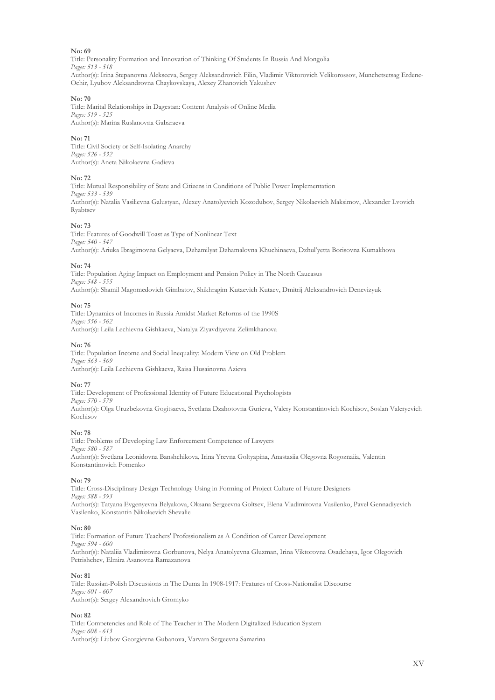Title: Personality Formation and Innovation of Thinking Of Students In Russia And Mongolia *Pages: 513 - 518* Author(s): Irina Stepanovna Alekseeva, Sergey Aleksandrovich Filin, Vladimir Viktorovich Velikorossov, Munchetsetsag Erdene-Ochir, Lyubov Aleksandrovna Chaykovskaya, Alexey Zhanovich Yakushev

#### **No: 70**

Title: Marital Relationships in Dagestan: Content Analysis of Online Media *Pages: 519 - 525* Author(s): Marina Ruslanovna Gabaraeva

#### **No: 71**

Title: Civil Society or Self-Isolating Anarchy *Pages: 526 - 532* Author(s): Aneta Nikolaevna Gadieva

#### **No: 72**

Title: Mutual Responsibility of State and Citizens in Conditions of Public Power Implementation *Pages: 533 - 539* Author(s): Natalia Vasilievna Galustyan, Alexey Anatolyevich Kozodubov, Sergey Nikolaevich Maksimov, Alexander Lvovich Ryabtsev

#### **No: 73**

Title: Features of Goodwill Toast as Type of Nonlinear Text *Pages: 540 - 547* Author(s): Ariuka Ibragimovna Gelyaeva, Dzhamilyat Dzhamalovna Khuchinaeva, Dzhul'yetta Borisovna Kumakhova

#### **No: 74**

Title: Population Aging Impact on Employment and Pension Policy in The North Caucasus *Pages: 548 - 555* Author(s): Shamil Magomedovich Gimbatov, Shikhragim Kutaevich Kutaev, Dmitrij Aleksandrovich Denevizyuk

#### **No: 75**

Title: Dynamics of Incomes in Russia Amidst Market Reforms of the 1990S *Pages: 556 - 562* Author(s): Leila Lechievna Gishkaeva, Natalya Ziyavdiyevna Zelimkhanova

#### **No: 76**

Title: Population Income and Social Inequality: Modern View on Old Problem *Pages: 563 - 569* Author(s): Leila Lechievna Gishkaeva, Raisa Husainovna Azieva

#### **No: 77**

Title: Development of Professional Identity of Future Educational Psychologists *Pages: 570 - 579* Author(s): Olga Uruzbekovna Gogitsaeva, Svetlana Dzahotovna Gurieva, Valery Konstantinovich Kochisov, Soslan Valeryevich Kochisov

#### **No: 78**

Title: Problems of Developing Law Enforcement Competence of Lawyers *Pages: 580 - 587* Author(s): Svetlana Leonidovna Banshchikova, Irina Yrevna Goltyapina, Anastasiia Olegovna Rogoznaiia, Valentin Konstantinovich Fomenko

#### **No: 79**

Title: Cross-Disciplinary Design Technology Using in Forming of Project Culture of Future Designers *Pages: 588 - 593* Author(s): Tatyana Evgenyevna Belyakova, Oksana Sergeevna Goltsev, Elena Vladimirovna Vasilenko, Pavel Gennadiyevich Vasilenko, Konstantin Nikolaevich Shevalie

#### **No: 80**

Title: Formation of Future Teachers' Professionalism as A Condition of Career Development *Pages: 594 - 600* Author(s): Nataliia Vladimirovna Gorbunova, Nelya Anatolyevna Gluzman, Irina Viktorovna Osadchaya, Igor Olegovich Petrishchev, Elmira Asanovna Ramazanova

#### **No: 81**

Title: Russian-Polish Discussions in The Duma In 1908-1917: Features of Cross-Nationalist Discourse *Pages: 601 - 607* Author(s): Sergey Alexandrovich Gromyko

#### **No: 82**

Title: Competencies and Role of The Teacher in The Modern Digitalized Education System *Pages: 608 - 613* Author(s): Liubov Georgievna Gubanova, Varvara Sergeevna Samarina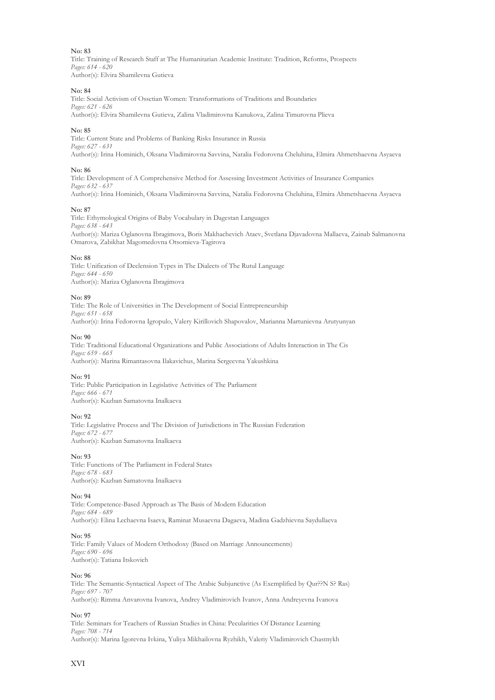Title: Training of Research Staff at The Humanitarian Academic Institute: Tradition, Reforms, Prospects *Pages: 614 - 620* Author(s): Elvira Shamilevna Gutieva

#### **No: 84**

Title: Social Activism of Ossetian Women: Transformations of Traditions and Boundaries *Pages: 621 - 626*

Author(s): Elvira Shamilevna Gutieva, Zalina Vladimirovna Kanukova, Zalina Timurovna Plieva

#### **No: 85**

Title: Current State and Problems of Banking Risks Insurance in Russia *Pages: 627 - 631* Author(s): Irina Hominich, Oksana Vladimirovna Savvina, Natalia Fedorovna Cheluhina, Elmira Ahmetshaevna Asyaeva

#### **No: 86**

Title: Development of A Comprehensive Method for Assessing Investment Activities of Insurance Companies *Pages: 632 - 637* Author(s): Irina Hominich, Oksana Vladimirovna Savvina, Natalia Fedorovna Cheluhina, Elmira Ahmetshaevna Asyaeva

#### **No: 87**

Title: Ethymological Origins of Baby Vocabulary in Dagestan Languages *Pages: 638 - 643* Author(s): Mariza Oglanovna Ibragimova, Boris Makhachevich Ataev, Svetlana Djavadovna Mallaeva, Zainab Salmanovna Omarova, Zabikhat Magomedovna Otsomieva-Tagirova

#### **No: 88**

Title: Unification of Declension Types in The Dialects of The Rutul Language *Pages: 644 - 650* Author(s): Mariza Oglanovna Ibragimova

#### **No: 89**

Title: The Role of Universities in The Development of Social Entrepreneurship *Pages: 651 - 658* Author(s): Irina Fedorovna Igropulo, Valery Kirillovich Shapovalov, Marianna Martunievna Аrutyunyan

#### **No: 90**

Title: Traditional Educational Organizations and Public Associations of Adults Interaction in The Cis *Pages: 659 - 665* Author(s): Marina Rimantasovna Ilakavichus, Marina Sergeevna Yakushkina

#### **No: 91**

Title: Public Participation in Legislative Activities of The Parliament *Pages: 666 - 671* Author(s): Kazban Samatovna Inalkaeva

#### **No: 92**

Title: Legislative Process and The Division of Jurisdictions in The Russian Federation *Pages: 672 - 677* Author(s): Kazban Samatovna Inalkaeva

#### **No: 93**

Title: Functions of The Parliament in Federal States *Pages: 678 - 683* Author(s): Kazban Samatovna Inalkaeva

#### **No: 94**

Title: Competence-Based Approach as The Basis of Modern Education *Pages: 684 - 689* Author(s): Elina Lechaevna Isaeva, Raminat Musaevna Dagaeva, Madina Gadzhievna Saydullaeva

#### **No: 95**

Title: Family Values of Modern Orthodoxy (Based on Marriage Announcements) *Pages: 690 - 696* Author(s): Tatiana Itskovich

#### **No: 96**

Title: The Semantic-Syntactical Aspect of The Arabic Subjunctive (As Exemplified by Qur??N S? Ras) *Pages: 697 - 707* Author(s): Rimma Anvarovna Ivanova, Andrey Vladimirovich Ivanov, Anna Andreyevna Ivanova

#### **No: 97**

Title: Seminars for Teachers of Russian Studies in China: Pecularities Of Distance Learning *Pages: 708 - 714* Author(s): Marina Igorevna Ivkina, Yuliya Mikhailovna Ryzhikh, Valeriy Vladimirovich Chastnykh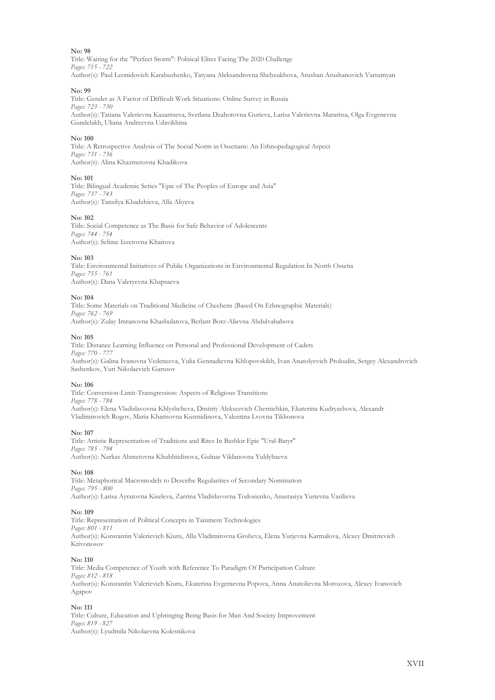Title: Waiting for the "Perfect Storm": Political Elites Facing The 2020 Challenge *Pages: 715 - 722* Author(s): Paul Leonidovich Karabushenko, Tatyana Aleksandrovna Shebzukhova, Arushan Arushanovich Vartumyan

#### **No: 99**

Title: Gender as A Factor of Difficult Work Situations: Online Survey in Russia *Pages: 723 - 730* Author(s): Tatiana Valerievna Kazantseva, Svetlana Dzahotovna Gurieva, Larisa Valerievna Mararitsa, Olga Evgenevna Gundelakh, Uliana Andreevna Udavikhina

#### **No: 100**

Title: A Retrospective Analysis of The Social Norm in Ossetians: An Ethnopedagogical Aspect *Pages: 731 - 736* Author(s): Alina Khazmetovna Khadikova

#### **No: 101**

Title: Bilingual Academic Series "Epic of The Peoples of Europe and Asia" *Pages: 737 - 743* Author(s): Tanzilya Khadzhieva, Alla Aliyeva

#### **No: 102**

Title: Social Competence as The Basis for Safe Behavior of Adolescents *Pages: 744 - 754* Author(s): Selime Izzetovna Khairova

#### **No: 103**

Title: Environmental Initiatives of Public Organizations in Environmental Regulation In North Ossetia *Pages: 755 - 761* Author(s): Dana Valeryevna Khapsaeva

#### **No: 104**

Title: Some Materials on Traditional Medicine of Chechens (Based On Ethnographic Materials) *Pages: 762 - 769* Author(s): Zulay Imranovna Khasbulatova, Berlant Borz-Alievna Abdulvahabova

#### **No: 105**

Title: Distance Learning Influence on Personal and Professional Development of Cadets *Pages: 770 - 777* Author(s): Galina Ivanovna Vedeneeva, Yulia Gennadievna Khlopovskikh, Ivan Anatolyevich Prokudin, Sergey Alexandrovich Sashenkov, Yuri Nikolaevich Garusov

#### **No: 106**

Title: Conversion-Limit-Transgression: Aspects of Religious Transitions *Pages: 778 - 784* Author(s): Elena Vladislavovna Khlyshcheva, Dmitriy Alekseevich Chernichkin, Ekaterina Kudryashova, Alexandr Vladimirovich Rogov, Maria Kharisovna Kusmidinova, Valentina Lvovna Tikhonova

#### **No: 107**

Title: Artistic Representation of Traditions and Rites In Bashkir Epic "Ural-Batyr" *Pages: 785 - 794* Author(s): Narkas Ahmetovna Khubbitdinova, Gulnar Vildanovna Yuldybaeva

#### **No: 108**

Title: Metaphorical Macromodels to Describe Regularities of Secondary Nomination *Pages: 795 - 800* Author(s): Larisa Ayratovna Kiseleva, Zarrina Vladislavovna Todosienko, Anastasiya Yurievna Vasilieva

#### **No: 109**

Title: Representation of Political Concepts in Tainment Technologies *Pages: 801 - 811* Author(s): Konstantin Valerievich Kiuru, Alla Vladimirovna Groheva, Elena Yurjevna Karmalova, Alexey Dmitrievich Krivonosov

#### **No: 110**

Title: Media Competence of Youth with Reference To Paradigm Of Participation Culture *Pages: 812 - 818* Author(s): Konstantin Valerievich Kiuru, Ekaterina Evgenievna Popova, Anna Anatolievna Morozova, Alexey Ivanovich Agapov

#### **No: 111**

Title: Culture, Education and Upbringing Being Basis for Man And Society Improvement *Pages: 819 - 827* Author(s): Lyudmila Nikolaevna Kolesnikova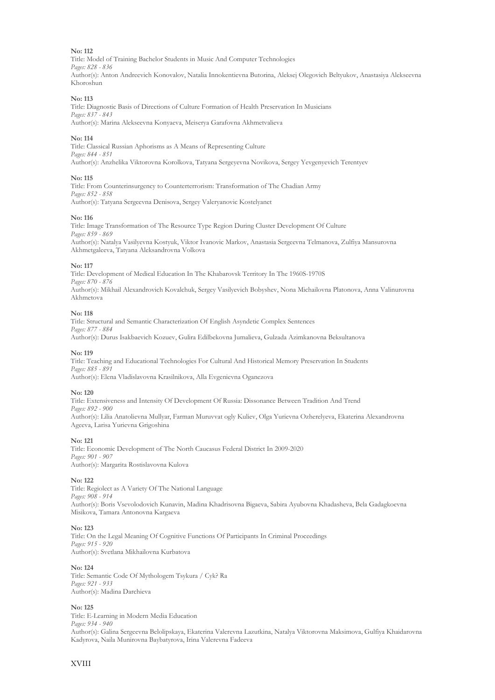Title: Model of Training Bachelor Students in Music And Computer Technologies *Pages: 828 - 836* Author(s): Anton Andreevich Konovalov, Natalia Innokentievna Butorina, Aleksej Olegovich Beltyukov, Anastasiya Alekseevna Khoroshun

#### **No: 113**

Title: Diagnostic Basis of Directions of Culture Formation of Health Preservation In Musicians *Pages: 837 - 843* Author(s): Marina Alekseevna Konyaeva, Meiserya Garafovna Akhmetvalieva

#### **No: 114**

Title: Classical Russian Aphorisms as A Means of Representing Culture *Pages: 844 - 851* Author(s): Anzhelika Viktorovna Korolkova, Tatyana Sergeyevna Novikova, Sergey Yevgenyevich Terentyev

#### **No: 115**

Title: From Counterinsurgency to Counterterrorism: Transformation of The Chadian Army *Pages: 852 - 858* Author(s): Tatyana Sergeevna Denisova, Sergey Valeryanovic Kostelyanet

#### **No: 116**

Title: Image Transformation of The Resource Type Region During Cluster Development Of Culture *Pages: 859 - 869* Author(s): Natalya Vasilyevna Kostyuk, Viktor Ivanovic Markov, Anastasia Sergeevna Telmanova, Zulfiya Mansurovna Akhmetgaleeva, Tatyana Aleksandrovna Volkova

#### **No: 117**

Title: Development of Medical Education In The Khabarovsk Territory In The 1960S-1970S *Pages: 870 - 876* Author(s): Mikhail Alexandrovich Kovalchuk, Sergey Vasilyevich Bobyshev, Nona Michailovna Platonova, Anna Valinurovna Akhmetova

#### **No: 118**

Title: Structural and Semantic Characterization Of English Asyndetic Complex Sentences *Pages: 877 - 884* Author(s): Durus Isakbaevich Kozuev, Gulira Edilbekovna Jumalieva, Gulzada Azimkanovna Beksultanova

#### **No: 119**

Title: Teaching and Educational Technologies For Cultural And Historical Memory Preservation In Students *Pages: 885 - 891* Author(s): Elena Vladislavovna Krasilnikova, Alla Evgenievna Oganezova

#### **No: 120**

Title: Extensiveness and Intensity Of Development Of Russia: Dissonance Between Tradition And Trend *Pages: 892 - 900* Author(s): Lilia Anatolievna Mullyar, Farman Muruvvat ogly Kuliev, Olga Yurievna Ozherelyeva, Ekaterina Alexandrovna Ageeva, Larisa Yurievna Grigoshina

#### **No: 121**

Title: Economic Development of The North Caucasus Federal District In 2009-2020 *Pages: 901 - 907* Author(s): Margarita Rostislavovna Kulova

#### **No: 122**

Title: Regiolect as A Variety Of The National Language *Pages: 908 - 914* Author(s): Boris Vsevolodovich Kunavin, Madina Khadrisovna Bigaeva, Sabira Ayubovna Khadasheva, Bela Gadagkoevna Misikova, Tamara Antonovna Kargaeva

#### **No: 123**

Title: On the Legal Meaning Of Cognitive Functions Of Participants In Criminal Proceedings *Pages: 915 - 920* Author(s): Svetlana Mikhailovna Kurbatova

#### **No: 124**

Title: Semantic Code Of Mythologem Tsykura / Cyk? Ra *Pages: 921 - 933* Author(s): Madina Darchieva

#### **No: 125**

Title: E-Learning in Modern Media Education *Pages: 934 - 940* Author(s): Galina Sergeevna Belolipskaya, Ekaterina Valerevna Lazutkina, Natalya Viktorovna Maksimova, Gulfiya Khaidarovna Kadyrova, Naila Munirovna Baybatyrova, Irina Valerevna Fadeeva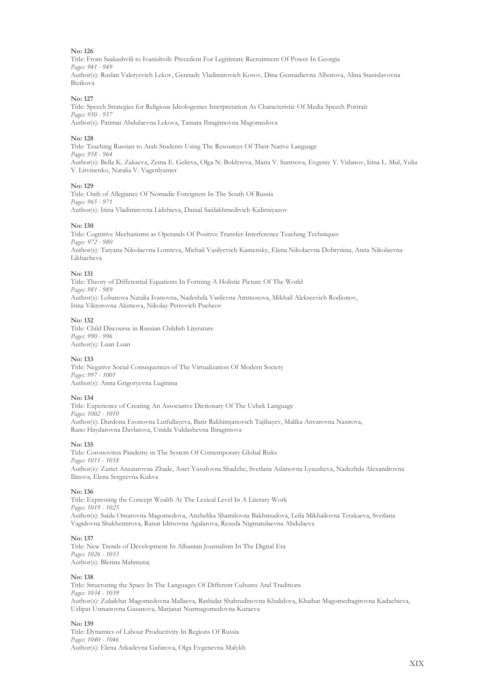Title: From Saakashvili to Ivanishvili: Precedent For Legitimate Recruitment Of Power In Georgia *Pages: 941 - 949* Author(s): Ruslan Valeryevich Lekov, Gennady Vladimirovich Kosov, Dina Gennadievna Alborova, Alina Stanislavovna Bizikova

#### **No: 127**

Title: Speech Strategies for Religious Ideologemes Interpretation As Characteristic Of Media Speech Portrait *Pages: 950 - 957*

Author(s): Patimat Abdulaevna Lekova, Tamara Ibragimovna Magomedova

#### **No: 128**

Title: Teaching Russian to Arab Students Using The Resources Of Their Native Language *Pages: 958 - 964* Author(s): Bella K. Zakaeva, Zema E. Gelieva, Olga N. Boldyreva, Maria V. Suntsova, Evgeniy Y. Vidanov, Irina L. Mul, Yulia Y. Litvinenko, Natalia V. Vagenlyatner

#### **No: 129**

Title: Oath of Allegiance Of Nomadic Foreigners In The South Of Russia *Pages: 965 - 971* Author(s): Irina Vladimirovna Lidzhieva, Danial Saidakhmedivich Kidirniyazov

#### **No: 130**

Title: Cognitive Mechanisms as Operands Of Positive Transfer-Interference Teaching Techniques *Pages: 972 - 980* Author(s): Tatyana Nikolaevna Lomteva, Michail Vasilyevich Kamensky, Elena Nikolaevna Dobrynina, Anna Nikolaevna Likhacheva

#### **No: 131**

Title: Theory of Differential Equations In Forming A Holistic Picture Of The World *Pages: 981 - 989* Author(s): Lobanova Natalia Ivanovna, Nadeshda Vasilevna Ammosova, Mikhail Alekseevich Rodionov, Irina Viktorovna Akimova, Nikolay Petrovich Puchcov

#### **No: 132**

Title: Child Discourse in Russian Childish Literature *Pages: 990 - 996* Author(s): Luan Luan

#### **No: 133**

Title: Negative Social Consequences of The Virtualization Of Modern Society *Pages: 997 - 1001* Author(s): Anna Grigoryevna Luginina

#### **No: 134**

Title: Experience of Creating An Associative Dictionary Of The Uzbek Language *Pages: 1002 - 1010* Author(s): Durdona Esonovna Lutfullayeva, Batir Rakhimjanovich Tajibayev, Malika Anvarovna Nasirova, Rano Haydarovna Davlatova, Umida Yuldashevna Ibragimova

#### **No: 135**

Title: Coronovirus Pandemy in The System Of Contemporary Global Risks *Pages: 1011 - 1018* Author(s): Zuriet Anzaurovna Zhade, Asiet Yusufovna Shadzhe, Svetlana Aslanovna Lyausheva, Nadezhda Alexandrovna Ilinova, Elena Sergeevna Kukva

#### **No: 136**

Title: Expressing the Concept Wealth At The Lexical Level In A Literary Work *Pages: 1019 - 1025* Author(s): Saida Omarovna Magomedova, Anzhelika Shamilovna Bakhmudova, Leila Mikhailovna Tetakaeva, Svetlana Vagidovna Shakhemirova, Raisat Idrisovna Agalarova, Rezeda Nigmatulaevna Abdulaeva

#### **No: 137**

Title: New Trends of Development In Albanian Journalism In The Digital Era *Pages: 1026 - 1033* Author(s): Blerina Mahmutaj

#### **No: 138**

Title: Structuring the Space In The Languages Of Different Cultures And Traditions *Pages: 1034 - 1039* Author(s): Zulaikhat Magomedovna Mallaeva, Rashidat Shahrudinovna Khalidova, Khaibat Magomedtagirovna Kadachieva, Uzlipat Usmanovna Gasanova, Marjanat Nurmagomedovna Kuraeva

#### **No: 139**

Title: Dynamics of Labour Productivity In Regions Of Russia *Pages: 1040 - 1046* Author(s): Elena Arkadevna Gafarova, Olga Evgenevna Malykh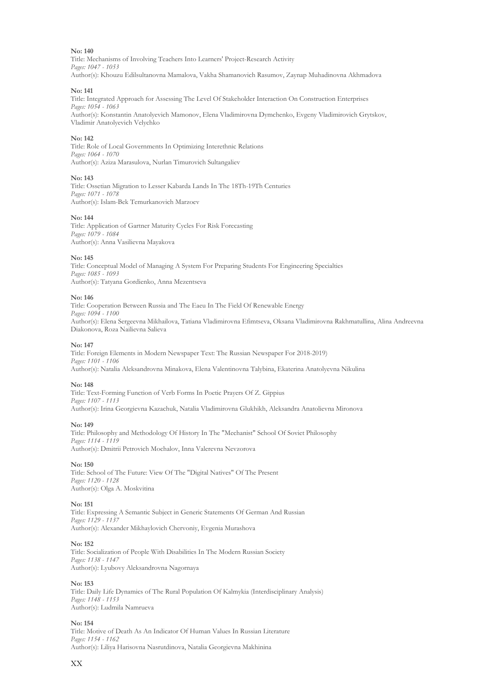Title: Mechanisms of Involving Teachers Into Learners' Project-Research Activity *Pages: 1047 - 1053* Author(s): Khouzu Edilsultanovna Mamalova, Vakha Shamanovich Rasumov, Zaynap Muhadinovna Akhmadova

#### **No: 141**

Title: Integrated Approach for Assessing The Level Of Stakeholder Interaction On Construction Enterprises *Pages: 1054 - 1063* Author(s): Konstantin Anatolyevich Mamonov, Elena Vladimirovna Dymchenko, Evgeny Vladimirovich Grytskov, Vladimir Anatolyevich Velychko

#### **No: 142**

Title: Role of Local Governments In Optimizing Interethnic Relations *Pages: 1064 - 1070* Author(s): Aziza Marasulova, Nurlan Timurovich Sultangaliev

#### **No: 143**

Title: Ossetian Migration to Lesser Kabarda Lands In The 18Th-19Th Centuries *Pages: 1071 - 1078* Author(s): Islam-Bek Temurkanovich Marzoev

#### **No: 144**

Title: Application of Gartner Maturity Cycles For Risk Forecasting *Pages: 1079 - 1084* Author(s): Anna Vasilievna Mayakova

#### **No: 145**

Title: Conceptual Model of Managing A System For Preparing Students For Engineering Specialties *Pages: 1085 - 1093* Author(s): Tatyana Gordienko, Anna Mezentseva

#### **No: 146**

Title: Cooperation Between Russia and The Eaeu In The Field Of Renewable Energy *Pages: 1094 - 1100* Author(s): Elena Sergeevna Mikhailova, Tatiana Vladimirovna Efimtseva, Oksana Vladimirovna Rakhmatullina, Alina Andreevna Diakonova, Roza Nailievna Salieva

#### **No: 147**

Title: Foreign Elements in Modern Newspaper Text: The Russian Newspaper For 2018-2019) *Pages: 1101 - 1106*  Author(s): Natalia Aleksandrovna Minakova, Elena Valentinovna Talybina, Ekaterina Anatolyevna Nikulina

#### **No: 148**

Title: Text-Forming Function of Verb Forms In Poetic Prayers Of Z. Gippius *Pages: 1107 - 1113* Author(s): Irina Georgievna Kazachuk, Natalia Vladimirovna Glukhikh, Aleksandra Anatolievna Mironova

#### **No: 149**

Title: Philosophy and Methodology Of History In The "Mechanist" School Of Soviet Philosophy *Pages: 1114 - 1119* Author(s): Dmitrii Petrovich Mochalov, Inna Valerevna Nevzorova

#### **No: 150**

Title: School of The Future: View Of The "Digital Natives" Of The Present *Pages: 1120 - 1128* Author(s): Olga A. Moskvitina

#### **No: 151**

Title: Expressing A Semantic Subject in Generic Statements Of German And Russian *Pages: 1129 - 1137* Author(s): Alexander Mikhaylovich Chervoniy, Evgenia Murashova

#### **No: 152**

Title: Socialization of People With Disabilities In The Modern Russian Society *Pages: 1138 - 1147* Author(s): Lyubovy Aleksandrovna Nagornaya

#### **No: 153**

Title: Daily Life Dynamics of The Rural Population Of Kalmykia (Interdisciplinary Analysis) *Pages: 1148 - 1153* Author(s): Ludmila Namrueva

#### **No: 154**

Title: Motive of Death As An Indicator Of Human Values In Russian Literature *Pages: 1154 - 1162* Author(s): Liliya Harisovna Nasrutdinova, Natalia Georgievna Makhinina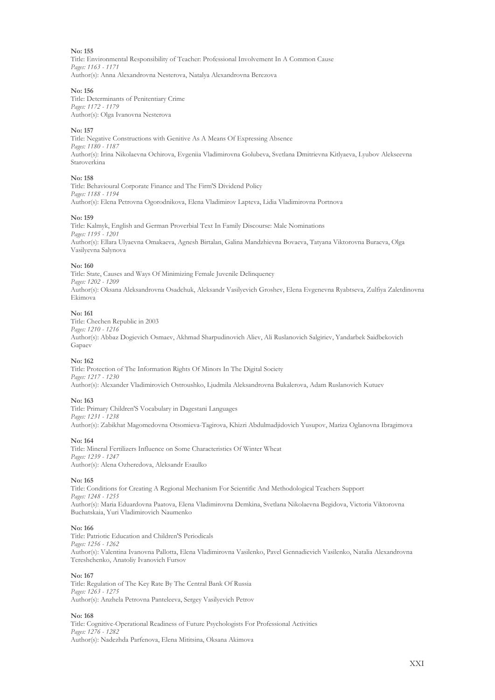Title: Environmental Responsibility of Teacher: Professional Involvement In A Common Cause *Pages: 1163 - 1171* Author(s): Anna Alexandrovna Nesterova, Natalya Alexandrovna Berezova

#### **No: 156**

Title: Determinants of Penitentiary Crime *Pages: 1172 - 1179* Author(s): Olga Ivanovna Nesterova

#### **No: 157**

Title: Negative Constructions with Genitive As A Means Of Expressing Absence *Pages: 1180 - 1187* Author(s): Irina Nikolaevna Ochirova, Evgeniia Vladimirovna Golubeva, Svetlana Dmitrievna Kitlyaeva, Lyubov Alekseevna Staroverkina

#### **No: 158**

Title: Behavioural Corporate Finance and The Firm'S Dividend Policy *Pages: 1188 - 1194* Author(s): Elena Petrovna Ogorodnikova, Elena Vladimirov Lapteva, Lidia Vladimirovna Portnova

#### **No: 159**

Title: Kalmyk, English and German Proverbial Text In Family Discourse: Male Nominations *Pages: 1195 - 1201* Author(s): Ellara Ulyaevna Omakaeva, Agnesh Birtalan, Galina Mandzhievna Bovaeva, Tatyana Viktorovna Buraeva, Olga Vasilyevna Salynova

#### **No: 160**

Title: State, Causes and Ways Of Minimizing Female Juvenile Delinquency *Pages: 1202 - 1209* Author(s): Oksana Aleksandrovna Osadchuk, Aleksandr Vasilyevich Groshev, Elena Evgenevna Ryabtseva, Zulfiya Zaletdinovna Ekimova

#### **No: 161**

Title: Chechen Republic in 2003 *Pages: 1210 - 1216* Author(s): Abbaz Dogievich Osmaev, Akhmad Sharpudinovich Aliev, Ali Ruslanovich Salgiriev, Yandarbek Saidbekovich Gapaev

#### **No: 162**

Title: Protection of The Information Rights Of Minors In The Digital Society *Pages: 1217 - 1230* Author(s): Alexander Vladimirovich Ostroushko, Ljudmila Aleksandrovna Bukalerova, Adam Ruslanovich Kutuev

#### **No: 163**

Title: Primary Children'S Vocabulary in Dagestani Languages *Pages: 1231 - 1238* Author(s): Zabikhat Magomedovna Otsomieva-Tagirova, Khizri Abdulmadjidovich Yusupov, Mariza Oglanovna Ibragimova

#### **No: 164**

Title: Mineral Fertilizers Influence on Some Characteristics Of Winter Wheat *Pages: 1239 - 1247* Author(s): Alena Ozheredova, Aleksandr Esaulko

#### **No: 165**

Title: Conditions for Creating A Regional Mechanism For Scientific And Methodological Teachers Support *Pages: 1248 - 1255* Author(s): Maria Eduardovna Paatova, Elena Vladimirovna Demkina, Svetlana Nikolaevna Begidova, Victoria Viktorovna Buсhatskaia, Yuri Vladimirovich Naumenko

#### **No: 166**

Title: Patriotic Education and Children'S Periodicals *Pages: 1256 - 1262* Author(s): Valentina Ivanovna Pallotta, Elena Vladimirovna Vasilenko, Pavel Gennadievich Vasilenko, Natalia Alexandrovna Tereshchenko, Anatoliy Ivanovich Fursov

#### **No: 167**

Title: Regulation of The Key Rate By The Central Bank Of Russia *Pages: 1263 - 1275* Author(s): Anzhela Petrovna Panteleeva, Sergey Vasilyevich Petrov

#### **No: 168**

Title: Cognitive-Operational Readiness of Future Psychologists For Professional Activities *Pages: 1276 - 1282* Author(s): Nadezhda Parfenova, Elena Mititsina, Oksana Akimova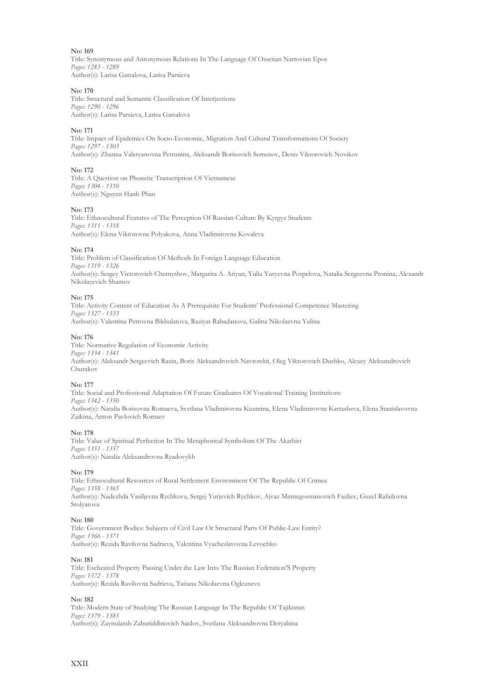Title: Synonymous and Antonymous Relations In The Language Of Ossetian Nartovian Epos *Pages: 1283 - 1289* Author(s): Larisa Gatsalova, Larisa Parsieva

#### **No: 170**

Title: Structural and Semantic Classification Of Interjections *Pages: 1290 - 1296* Author(s): Larisa Parsieva, Larisa Gatsalova

#### **No: 171**

Title: Impact of Epidemics On Socio-Economic, Migration And Cultural Transformations Of Society *Pages: 1297 - 1303* Author(s): Zhanna Valeryanovna Petrunina, Aleksandr Borisovich Semenov, Denis Viktorovich Novikov

#### **No: 172**

Title: A Question on Phonetic Transcription Of Vietnamese *Pages: 1304 - 1310* Author(s): Nguyen Hanh Phan

#### **No: 173**

Title: Ethnocultural Features of The Perception Of Russian Culture By Kyrgyz Students *Pages: 1311 - 1318* Author(s): Elena Viktorovna Polyakova, Anna Vladimirovna Kovaleva

#### **No: 174**

Title: Problem of Classification Of Methods In Foreign Language Education *Pages: 1319 - 1326* Author(s): Sergey Victorovich Chernyshov, Margarita A. Ariyan, Yulia Yuryevna Pospelova, Natalia Sergeevna Pronina, Alexandr Nikolayevich Shamov

#### **No: 175**

Title: Activity Content of Education As A Prerequisite For Students' Professional Competence Mastering *Pages: 1327 - 1333*  Author(s): Valentina Petrovna Bikbulatova, Raziyat Rabadanova, Galina Nikolaevna Yulina

#### **No: 176**

Title: Normative Regulation of Economic Activity *Pages: 1334 - 1341* Author(s): Aleksandr Sergeevich Razin, Boris Aleksandrovich Navrotskii, Oleg Viktorovich Dushko, Alexey Aleksandrovich Churakov

#### **No: 177**

Title: Social and Professional Adaptation Of Future Graduates Of Vocational Training Institutions *Pages: 1342 - 1350* Author(s): Natalia Borisovna Romaeva, Svetlana Vladimirovna Kuzmina, Elena Vladimirovna Kartasheva, Elena Stanislavovna Zaikina, Anton Pavlovich Romaev

#### **No: 178**

Title: Value of Spiritual Perfection In The Metaphorical Symbolism Of The Akathist *Pages: 1351 - 1357* Author(s): Natalia Aleksandrovna Ryadovykh

#### **No: 179**

Title: Ethnocultural Resources of Rural Settlement Environment Of The Republic Of Crimea *Pages: 1358 - 1365* Author(s): Nadezhda Vasiljevna Rychkova, Sergej Yurjevich Rychkov, Ajvaz Minnegosmanovich Fazliev, Guzel Rafailovna Stolyarova

#### **No: 180**

Title: Government Bodies: Subjects of Civil Law Or Structural Parts Of Public-Law Entity? *Pages: 1366 - 1371* Author(s): Rezida Ravilovna Sadrieva, Valentina Vyacheslavovna Levochko

#### **No: 181**

Title: Escheated Property Passing Under the Law Into The Russian Federation'S Property *Pages: 1372 - 1378* Author(s): Rezida Ravilovna Sadrieva, Tatiana Nikolaevna Oglezneva

#### **No: 182**

Title: Modern State of Studying The Russian Language In The Republic Of Tajikistan *Pages: 1379 - 1385* Author(s): Zaynularab Zaburiddinovich Saidov, Svetlana Aleksandrovna Deryabina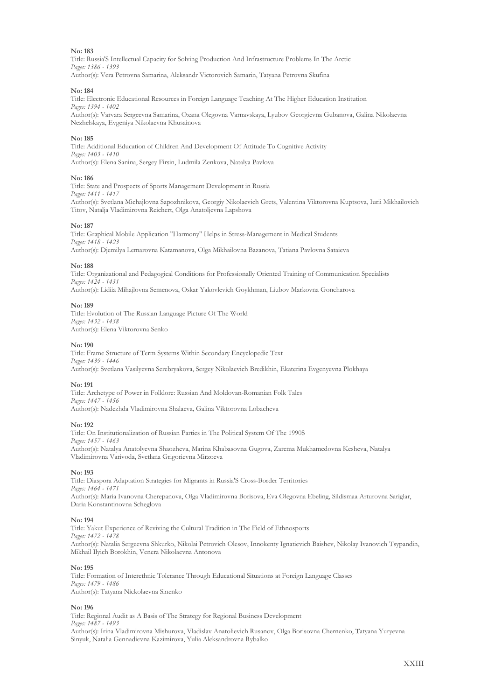Title: Russia'S Intellectual Capacity for Solving Production And Infrastructure Problems In The Arctic *Pages: 1386 - 1393* Author(s): Vera Petrovna Samarina, Aleksandr Victorovich Samarin, Tatyana Petrovna Skufina

#### **No: 184**

Title: Electronic Educational Resources in Foreign Language Teaching At The Higher Education Institution *Pages: 1394 - 1402* Author(s): Varvara Sergeevna Samarina, Oxana Olegovna Varnavskaya, Lyubov Georgievna Gubanova, Galina Nikolaevna Nezhelskaya, Evgeniya Nikolaevna Khusainova

#### **No: 185**

Title: Additional Education of Children And Development Of Attitude To Cognitive Activity *Pages: 1403 - 1410* Author(s): Elena Sanina, Sergey Firsin, Ludmila Zenkova, Natalya Pavlova

#### **No: 186**

Title: State and Prospects of Sports Management Development in Russia *Pages: 1411 - 1417* Author(s): Svetlana Michajlovna Sapozhnikova, Georgiy Nikolaevich Grets, Valentina Viktorovna Kuptsova, Iurii Mikhailovich Titov, Natalja Vladimirovna Reichert, Olga Anatoljevna Lapshova

#### **No: 187**

Title: Graphical Mobile Application "Harmony" Helps in Stress-Management in Medical Students *Pages: 1418 - 1423* Author(s): Djemilya Lemarovna Katamanova, Olga Mikhailovna Bazanova, Tatiana Pavlovna Sataieva

#### **No: 188**

Title: Organizational and Pedagogical Conditions for Professionally Oriented Training of Communication Specialists *Pages: 1424 - 1431*

Author(s): Lidiia Mihajlovna Semenova, Oskar Yakovlevich Goykhman, Liubov Markovna Goncharova

#### **No: 189**

Title: Evolution of The Russian Language Picture Of The World *Pages: 1432 - 1438* Author(s): Elena Viktorovna Senko

#### **No: 190**

Title: Frame Structure of Term Systems Within Secondary Encyclopedic Text *Pages: 1439 - 1446* Author(s): Svetlana Vasilyevna Serebryakova, Sergey Nikolaevich Bredikhin, Ekaterina Evgenyevna Plokhaya

#### **No: 191**

Title: Archetype of Power in Folklore: Russian And Moldovan-Romanian Folk Tales *Pages: 1447 - 1456* Author(s): Nadezhda Vladimirovna Shalaeva, Galina Viktorovna Lobacheva

#### **No: 192**

Title: On Institutionalization of Russian Parties in The Political System Of The 1990S *Pages: 1457 - 1463* Author(s): Natalya Anatolyevna Shaozheva, Marina Khabasovna Gugova, Zarema Mukhamedovna Kesheva, Natalya Vladimirovna Varivoda, Svetlana Grigorievna Mirzoeva

#### **No: 193**

Title: Diaspora Adaptation Strategies for Migrants in Russia'S Cross-Border Territories *Pages: 1464 - 1471* Author(s): Maria Ivanovna Cherepanova, Olga Vladimirovna Borisova, Eva Olegovna Ebeling, Sildismaa Arturovna Sariglar, Daria Konstantinovna Scheglova

#### **No: 194**

Title: Yakut Experience of Reviving the Cultural Tradition in The Field of Ethnosports *Pages: 1472 - 1478* Author(s): Natalia Sergeevna Shkurko, Nikolai Petrovich Olesov, Innokenty Ignatievich Baishev, Nikolay Ivanovich Tsypandin, Mikhail Ilyich Borokhin, Venera Nikolaevna Antonova

#### **No: 195**

Title: Formation of Interethnic Tolerance Through Educational Situations at Foreign Language Classes *Pages: 1479 - 1486* Author(s): Tatyana Nickolaevna Sinenko

#### **No: 196**

Title: Regional Audit as A Basis of The Strategy for Regional Business Development *Pages: 1487 - 1493* Author(s): Irina Vladimirovna Mishurova, Vladislav Anatolievich Rusanov, Olga Borisovna Chernenko, Tatyana Yuryevna Sinyuk, Natalia Gennadievna Kazimirova, Yulia Aleksandrovna Rybalko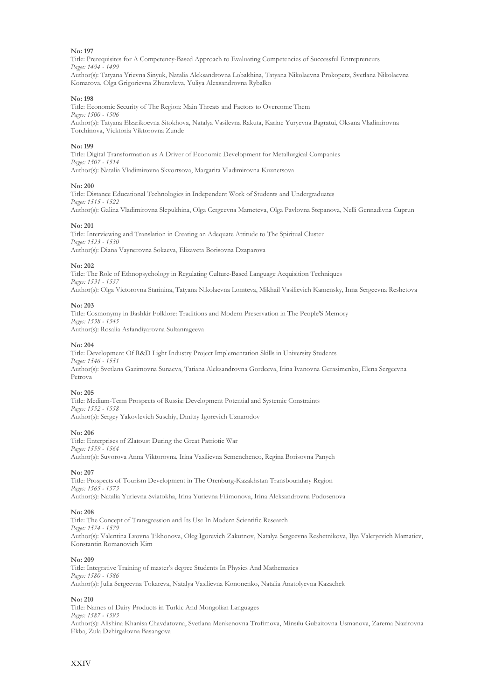Title: Prerequisites for A Competency-Based Approach to Evaluating Competencies of Successful Entrepreneurs *Pages: 1494 - 1499* Author(s): Tatyana Yrievna Sinyuk, Natalia Aleksandrovna Lobakhina, Tatyana Nikolaevna Prokopetz, Svetlana Nikolaevna Komarova, Olga Grigorievna Zhuravleva, Yuliya Alexsandrovna Rybalko

**No: 198**

Title: Economic Security of The Region: Main Threats and Factors to Overcome Them *Pages: 1500 - 1506* Author(s): Tatyana Elzarikoevna Sitokhova, Natalya Vasilevna Rakuta, Karine Yuryevna Bagratui, Oksana Vladimirovna Torchinova, Vicktoria Viktorovna Zunde

#### **No: 199**

Title: Digital Transformation as A Driver of Economic Development for Metallurgical Companies *Pages: 1507 - 1514* Author(s): Natalia Vladimirovna Skvortsova, Margarita Vladimirovna Kuznetsova

#### **No: 200**

Title: Distance Educational Technologies in Independent Work of Students and Undergraduates *Pages: 1515 - 1522* Author(s): Galina Vladimirovna Slepukhina, Olga Cergeevna Mameteva, Olga Pavlovna Stepanova, Nelli Gennadivna Cuprun

#### **No: 201**

Title: Interviewing and Translation in Creating an Adequate Attitude to The Spiritual Cluster *Pages: 1523 - 1530* Author(s): Diana Vaynerovna Sokaeva, Elizaveta Borisovna Dzaparova

#### **No: 202**

Title: The Role of Ethnopsychology in Regulating Culture-Based Language Acquisition Techniques *Pages: 1531 - 1537* Author(s): Olga Victorovna Starinina, Tatyana Nikolaevna Lomteva, Mikhail Vasilievich Kamensky, Inna Sergeevna Reshetova

#### **No: 203**

Title: Cosmonymy in Bashkir Folklore: Traditions and Modern Preservation in The People'S Memory *Pages: 1538 - 1545* Author(s): Rosalia Asfandiyarovna Sultanrageeva

#### **No: 204**

Title: Development Of R&D Light Industry Project Implementation Skills in University Students *Pages: 1546 - 1551* Author(s): Svetlana Gazimovna Sunaeva, Tatiana Aleksandrovna Gordeeva, Irina Ivanovna Gerasimenko, Elena Sergeevna Petrova

#### **No: 205**

Title: Medium-Term Prospects of Russia: Development Potential and Systemic Constraints *Pages: 1552 - 1558* Author(s): Sergey Yakovlevich Suschiy, Dmitry Igorevich Uznarodov

#### **No: 206**

Title: Enterprises of Zlatoust During the Great Patriotic War *Pages: 1559 - 1564* Author(s): Suvorova Anna Viktorovna, Irina Vasilievna Semenchenco, Regina Borisovna Panych

#### **No: 207**

Title: Prospects of Tourism Development in The Orenburg-Kazakhstan Transboundary Region *Pages: 1565 - 1573* Author(s): Natalia Yurievna Sviatokha, Irina Yurievna Filimonova, Irina Aleksandrovna Podosenova

#### **No: 208**

Title: The Concept of Transgression and Its Use In Modern Scientific Research *Pages: 1574 - 1579* Author(s): Valentina Lvovna Tikhonova, Oleg Igorevich Zakutnov, Natalya Sergeevna Reshetnikova, Ilya Valeryevich Mamatiev, Konstantin Romanovich Kim

#### **No: 209**

Title: Integrative Training of master's degree Students In Physics And Mathematics *Pages: 1580 - 1586* Author(s): Julia Sergeevna Tokareva, Natalya Vasilievna Kononenko, Natalia Anatolyevna Kazachek

#### **No: 210**

Title: Names of Dairy Products in Turkic And Mongolian Languages *Pages: 1587 - 1593* Author(s): Alishina Khanisa Chavdatovna, Svetlana Menkenovna Trofimova, Minsılu Gubaitovna Usmanova, Zarema Nazirovna Ekba, Zula Dzhirgalovna Basangova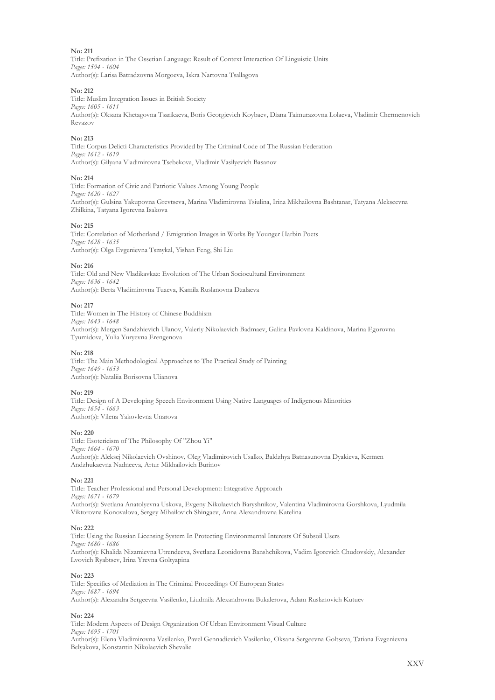Title: Prefixation in The Ossetian Language: Result of Context Interaction Of Linguistic Units *Pages: 1594 - 1604* Author(s): Larisa Batradzovna Morgoeva, Iskra Nartovna Tsallagova

#### **No: 212**

Title: Muslim Integration Issues in British Society *Pages: 1605 - 1611* Author(s): Oksana Khetagovna Tsarikaeva, Boris Georgievich Koybaev, Diana Taimurazovna Lolaeva, Vladimir Chermenovich Revazov

#### **No: 213**

Title: Corpus Delicti Characteristics Provided by The Criminal Code of The Russian Federation *Pages: 1612 - 1619* Author(s): Gilyana Vladimirovna Tsebekova, Vladimir Vasilyevich Basanov

#### **No: 214**

Title: Formation of Civic and Patriotic Values Among Young People *Pages: 1620 - 1627* Author(s): Gulsina Yakupovna Grevtseva, Marina Vladimirovna Tsiulina, Irina Mikhailovna Bashtanar, Tatyana Alekseevna Zhilkina, Tatyana Igorevna Isakova

#### **No: 215**

Title: Correlation of Motherland / Emigration Images in Works By Younger Harbin Poets *Pages: 1628 - 1635* Author(s): Olga Evgenievna Tsmykal, Yishan Feng, Shi Liu

#### **No: 216**

Title: Old and New Vladikavkaz: Evolution of The Urban Sociocultural Environment *Pages: 1636 - 1642* Author(s): Berta Vladimirovna Tuaeva, Kamila Ruslanovna Dzalaeva

#### **No: 217**

Title: Women in The History of Chinese Buddhism *Pages: 1643 - 1648* Author(s): Mergen Sandzhievich Ulanov, Valeriy Nikolaevich Badmaev, Galina Pavlovna Kaldinova, Marina Egorovna Tyumidova, Yulia Yuryevna Erengenova

#### **No: 218**

Title: The Main Methodological Approaches to The Practical Study of Painting *Pages: 1649 - 1653* Author(s): Nataliia Borisovna Ulianova

#### **No: 219**

Title: Design of A Developing Speech Environment Using Native Languages of Indigenous Minorities *Pages: 1654 - 1663* Author(s): Vilena Yakovlevna Unarova

#### **No: 220**

Title: Esotericism of The Philosophy Of "Zhou Yi" *Pages: 1664 - 1670* Author(s): Aleksej Nikolaevich Ovshinov, Oleg Vladimirovich Usalko, Baldzhya Batnasunovna Dyakieva, Kermen Andzhukaevna Nadneeva, Artur Mikhailovich Burinov

#### **No: 221**

Title: Teacher Professional and Personal Development: Integrative Approach *Pages: 1671 - 1679* Author(s): Svetlana Anatolyevna Uskova, Evgeny Nikolaevich Baryshnikov, Valentina Vladimirovna Gorshkova, Lyudmila Viktorovna Konovalova, Sergey Mihailovich Shingaev, Anna Alexandrovna Katelina

#### **No: 222**

Title: Using the Russian Licensing System In Protecting Environmental Interests Of Subsoil Users *Pages: 1680 - 1686* Author(s): Khalida Nizamievna Utrendeeva, Svetlana Leonidovna Banshchikova, Vadim Igorevich Chudovskiy, Alexander Lvovich Ryabtsev, Irina Yrevna Goltyapina

#### **No: 223**

Title: Specifics of Mediation in The Criminal Proceedings Of European States *Pages: 1687 - 1694* Author(s): Aleхandra Sergeevna Vasilenko, Liudmila Alexandrovna Bukalerova, Adam Ruslanovich Kutuev

#### **No: 224**

Title: Modern Aspects of Design Organization Of Urban Environment Visual Culture *Pages: 1695 - 1701* Author(s): Elena Vladimirovna Vasilenko, Pavel Gennadievich Vasilenko, Oksana Sergeevna Goltseva, Tatiana Evgenievna Belyakova, Konstantin Nikolaevich Shevalie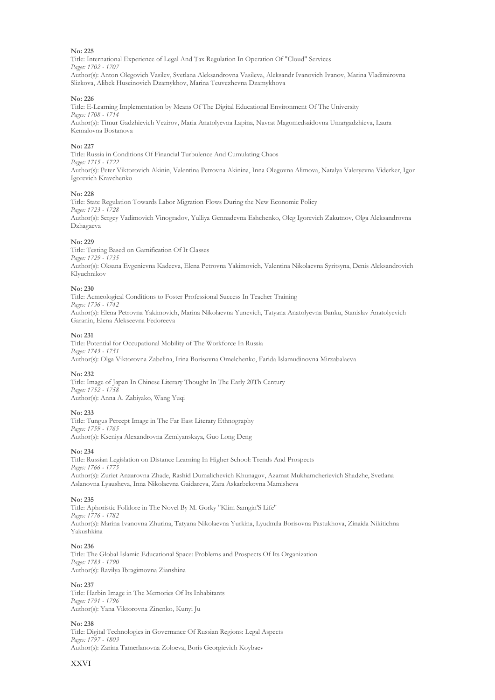Title: International Experience of Legal And Tax Regulation In Operation Of "Cloud" Services *Pages: 1702 - 1707* Author(s): Anton Olegovich Vasilev, Svetlana Aleksandrovna Vasileva, Aleksandr Ivanovich Ivanov, Marina Vladimirovna Slizkova, Alibek Huseinovich Dzamykhov, Marina Teuvezhevna Dzamykhova

#### **No: 226**

Title: E-Learning Implementation by Means Of The Digital Educational Environment Of The University *Pages: 1708 - 1714* Author(s): Timur Gadzhievich Vezirov, Maria Anatolyevna Lapina, Navrat Magomedsaidovna Umargadzhieva, Laura Kemalovna Bostanova

#### **No: 227**

Title: Russia in Conditions Of Financial Turbulence And Cumulating Chaos *Pages: 1715 - 1722* Author(s): Peter Viktorovich Akinin, Valentina Petrovna Akinina, Inna Olegovna Alimova, Natalya Valeryevna Viderker, Igor Igorevich Kravchenko

#### **No: 228**

Title: State Regulation Towards Labor Migration Flows During the New Economic Policy *Pages: 1723 - 1728* Author(s): Sergey Vadimovich Vinogradov, Yulliya Gennadevna Eshchenko, Oleg Igorevich Zakutnov, Olga Aleksandrovna Dzhagaeva

#### **No: 229**

Title: Testing Based on Gamification Of It Classes *Pages: 1729 - 1735* Author(s): Oksana Evgenievna Kadeeva, Elena Petrovna Yakimovich, Valentina Nikolaevna Syritsyna, Denis Aleksandrovich Klyuchnikov

#### **No: 230**

Title: Acmeological Conditions to Foster Professional Success In Teacher Training *Pages: 1736 - 1742* Author(s): Elena Petrovna Yakimovich, Marina Nikolaevna Yunevich, Tatyana Anatolyevna Banku, Stanislav Anatolyevich Garanin, Elena Alekseevna Fedoreeva

#### **No: 231**

Title: Potential for Occupational Mobility of The Workforce In Russia *Pages: 1743 - 1751* Author(s): Olga Viktorovna Zabelina, Irina Borisovna Omelchenko, Farida Islamudinovna Mirzabalaeva

#### **No: 232**

Title: Image of Japan In Chinese Literary Thought In The Early 20Th Century *Pages: 1752 - 1758* Author(s): Anna A. Zabiyako, Wang Yuqi

#### **No: 233**

Title: Tungus Percept Image in The Far East Literary Ethnography *Pages: 1759 - 1765* Author(s): Kseniya Alexandrovna Zemlyanskaya, Guo Long Deng

#### **No: 234**

Title: Russian Legislation on Distance Learning In Higher School: Trends And Prospects *Pages: 1766 - 1775* Author(s): Zuriet Anzarovna Zhade, Rashid Dumalichevich Khunagov, Azamat Mukhamcherievich Shadzhe, Svetlana Aslanovna Lyausheva, Inna Nikolaevna Gaidareva, Zara Askarbekovna Mamisheva

#### **No: 235**

Title: Aphoristic Folklore in The Novel By М. Gorky "Klim Samgin'S Life" *Pages: 1776 - 1782* Author(s): Marina Ivanovna Zhurina, Tatyana Nikolaevna Yurkina, Lyudmila Borisovna Pastukhova, Zinaida Nikitichna Yakushkina

#### **No: 236**

Title: The Global Islamic Educational Space: Problems and Prospects Of Its Organization *Pages: 1783 - 1790* Author(s): Ravilya Ibragimovna Zianshina

#### **No: 237**

Title: Harbin Image in The Memories Of Its Inhabitants *Pages: 1791 - 1796* Author(s): Yana Viktorovna Zinenko, Kunyi Ju

#### **No: 238**

Title: Digital Technologies in Governance Of Russian Regions: Legal Aspects *Pages: 1797 - 1803* Author(s): Zarina Tamerlanovna Zoloeva, Boris Georgievich Koybaev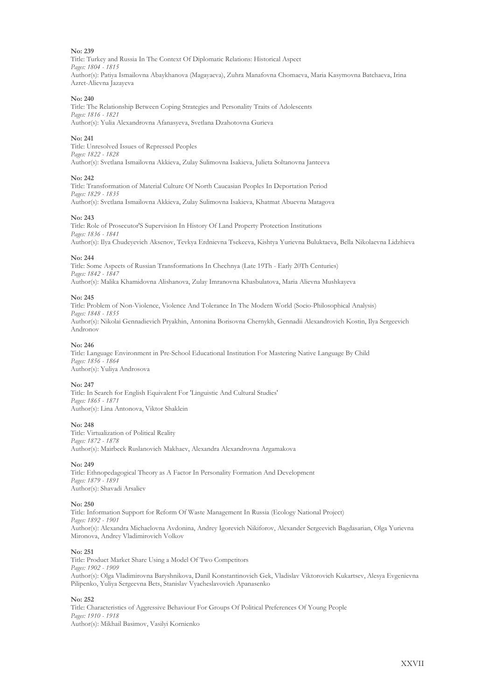Title: Turkey and Russia In The Context Of Diplomatic Relations: Historical Aspect *Pages: 1804 - 1815* Author(s): Patiya Ismailovna Abaykhanova (Magayaeva), Zuhra Manafovna Chomaeva, Maria Kasymovna Batchaeva, Irina Azret-Alievna Jazayeva

#### **No: 240**

Title: The Relationship Between Coping Strategies and Personality Traits of Adolescents *Pages: 1816 - 1821* Author(s): Yulia Alexandrovna Afanasyeva, Svetlana Dzahotovna Gurieva

#### **No: 241**

Title: Unresolved Issues of Repressed Peoples *Pages: 1822 - 1828* Author(s): Svetlana Ismailovna Akkieva, Zulay Sulimovna Isakieva, Julieta Soltanovna Janteeva

#### **No: 242**

Title: Transformation of Material Culture Of North Caucasian Peoples In Deportation Period *Pages: 1829 - 1835* Author(s): Svetlana Ismailovna Akkieva, Zulay Sulimovna Isakieva, Khatmat Abuevna Matagova

#### **No: 243**

Title: Role of Prosecutor'S Supervision In History Of Land Property Protection Institutions *Pages: 1836 - 1841* Author(s): Ilya Chudeyevich Aksenov, Tevkya Erdnievna Tsekeeva, Kishtya Yurievna Buluktaeva, Bella Nikolaevna Lidzhieva

#### **No: 244**

Title: Some Aspects of Russian Transformations In Chechnya (Late 19Th - Early 20Th Centuries) *Pages: 1842 - 1847* Author(s): Malika Khamidovna Alishanova, Zulay Imranovna Khasbulatova, Maria Alievna Mushkayeva

#### **No: 245**

Title: Problem of Non-Violence, Violence And Tolerance In The Modern World (Socio-Philosophical Analysis) *Pages: 1848 - 1855* Author(s): Nikolai Gennadievich Pryakhin, Antonina Borisovna Chernykh, Gennadii Alexandrovich Kostin, Ilya Sergeevich Andronov

#### **No: 246**

Title: Language Environment in Pre-School Educational Institution For Mastering Native Language By Child *Pages: 1856 - 1864* Author(s): Yuliya Androsova

#### **No: 247**

Title: In Search for English Equivalent For 'Linguistic And Cultural Studies' *Pages: 1865 - 1871* Author(s): Lina Antonova, Viktor Shaklein

#### **No: 248**

Title: Virtualization of Political Reality *Pages: 1872 - 1878* Author(s): Mairbeck Ruslanovich Makhaev, Alexandra Alexandrovna Argamakova

#### **No: 249**

Title: Ethnopedagogical Theory as A Factor In Personality Formation And Development *Pages: 1879 - 1891* Author(s): Shavadi Arsaliev

#### **No: 250**

Title: Information Support for Reform Of Waste Management In Russia (Ecology National Project) *Pages: 1892 - 1901* Author(s): Alexandra Michaelovna Avdonina, Andrey Igorevich Nikiforov, Alexander Sergeevich Bagdasarian, Olga Yurievna Mironova, Andrey Vladimirovich Volkov

#### **No: 251**

Title: Product Market Share Using a Model Of Two Competitors *Pages: 1902 - 1909* Author(s): Olga Vladimirovna Baryshnikova, Danil Konstantinovich Gek, Vladislav Viktorovich Kukartsev, Alesya Evgenievna Pilipenko, Yuliya Sergeevna Bets, Stanislav Vyacheslavovich Apanasenko

#### **No: 252**

Title: Characteristics of Aggressive Behaviour For Groups Of Political Preferences Of Young People *Pages: 1910 - 1918* Author(s): Mikhail Basimov, Vasilyi Kornienko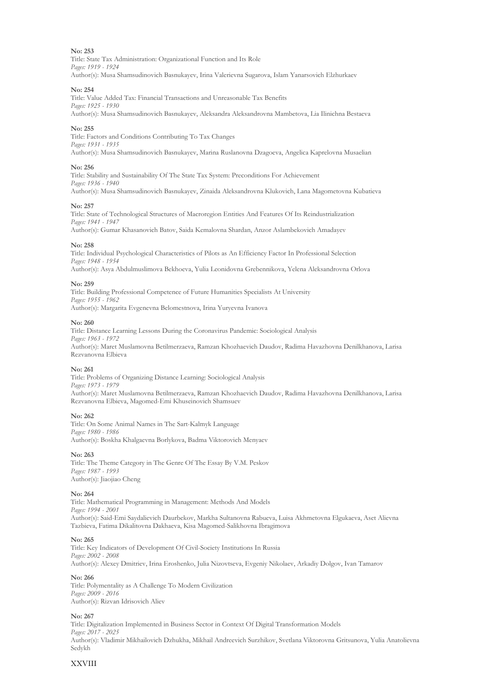Title: State Tax Administration: Organizational Function and Its Role *Pages: 1919 - 1924* Author(s): Musa Shamsudinovich Basnukayev, Irina Valerievna Sugarova, Islam Yanarsovich Elzhurkaev

#### **No: 254**

Title: Value Added Tax: Financial Transactions and Unreasonable Tax Benefits *Pages: 1925 - 1930*

Author(s): Musa Shamsudinovich Basnukayev, Aleksandra Aleksandrovna Mambetova, Lia Ilinichna Bestaeva

#### **No: 255**

Title: Factors and Conditions Contributing To Tax Changes *Pages: 1931 - 1935* Author(s): Musa Shamsudinovich Basnukayev, Marina Ruslanovna Dzagoeva, Angelica Kaprelovna Musaelian

#### **No: 256**

Title: Stability and Sustainability Of The State Tax System: Preconditions For Achievement *Pages: 1936 - 1940* Author(s): Musa Shamsudinovich Basnukayev, Zinaida Aleksandrovna Klukovich, Lana Magometovna Kubatieva

#### **No: 257**

Title: State of Technological Structures of Macroregion Entities And Features Of Its Reindustrialization *Pages: 1941 - 1947*

Author(s): Gumar Khasanovich Batov, Saida Kemalovna Shardan, Anzor Aslambekovich Amadayev

#### **No: 258**

Title: Individual Psychological Characteristics of Pilots as An Efficiency Factor In Professional Selection *Pages: 1948 - 1954* Author(s): Asya Abdulmuslimova Bekhoeva, Yulia Leonidovna Grebennikova, Yelena Aleksandrovna Orlova

#### **No: 259**

Title: Building Professional Competence of Future Humanities Specialists At University *Pages: 1955 - 1962* Author(s): Margarita Evgenevna Belomestnova, Irina Yuryevna Ivanova

#### **No: 260**

Title: Distance Learning Lessons During the Coronavirus Pandemic: Sociological Analysis *Pages: 1963 - 1972* Author(s): Maret Muslamovna Betilmerzaeva, Ramzan Khozhaevich Daudov, Radima Havazhovna Denilkhanova, Larisa Rezvanovna Elbieva

#### **No: 261**

Title: Problems of Organizing Distance Learning: Sociological Analysis *Pages: 1973 - 1979* Author(s): Maret Muslamovna Betilmerzaeva, Ramzan Khozhaevich Daudov, Radima Havazhovna Denilkhanova, Larisa Rezvanovna Elbieva, Magomed-Emi Khuseinovich Shamsuev

#### **No: 262**

Title: On Some Animal Names in The Sart-Kalmyk Language *Pages: 1980 - 1986* Author(s): Boskha Khalgaevna Borlykova, Badma Viktorovich Menyaev

**No: 263**

Title: The Theme Category in The Genre Of The Essay By V.M. Peskov *Pages: 1987 - 1993* Author(s): Jiaojiao Cheng

#### **No: 264**

Title: Mathematical Programming in Management: Methods And Models *Pages: 1994 - 2001* Author(s): Said-Emi Saydalievich Daurbekov, Markha Sultanovna Rabueva, Luisa Akhmetovna Elgukaeva, Aset Alievna Tazbieva, Fatima Dikalitovna Dakhaeva, Kisa Magomed-Salikhovna Ibragimova

#### **No: 265**

Title: Key Indicators of Development Of Civil-Society Institutions In Russia *Pages: 2002 - 2008* Author(s): Alexey Dmitriev, Irina Eroshenko, Julia Nizovtseva, Evgeniy Nikolaev, Arkadiy Dolgov, Ivan Tamarov

#### **No: 266**

Title: Polymentality as A Challenge To Modern Civilization *Pages: 2009 - 2016* Author(s): Rizvan Idrisovich Aliev

#### **No: 267**

Title: Digitalization Implemented in Business Sector in Context Of Digital Transformation Models *Pages: 2017 - 2025* Author(s): Vladimir Mikhailovich Dzhukha, Mikhail Andreevich Surzhikov, Svetlana Viktorovna Gritsunova, Yulia Anatolievna Sedykh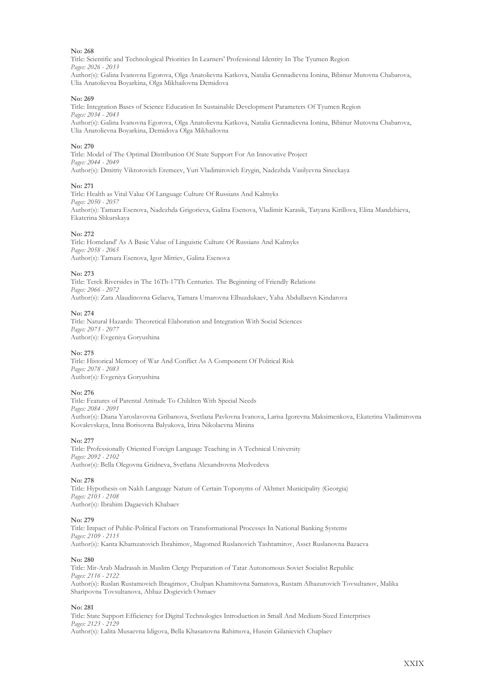Title: Scientific and Technological Priorities In Learners' Professional Identity In The Tyumen Region *Pages: 2026 - 2033* Author(s): Galina Ivanovna Egorova, Olga Anatolievna Katkova, Natalia Gennadievna Ionina, Bibinur Mutovna Chabarova,

Ulia Anatolievna Boyarkina, Olga Mikhailovna Demidova

#### **No: 269**

Title: Integration Bases of Science Education In Sustainable Development Parameters Of Tyumen Region *Pages: 2034 - 2043* Author(s): Galina Ivanovna Egorova, Olga Anatolievna Katkova, Natalia Gennadievna Ionina, Bibinur Mutovna Chabarova, Ulia Anatolievna Boyarkina, Demidova Olga Mikhailovna

#### **No: 270**

Title: Model of The Optimal Distribution Of State Support For An Innovative Project *Pages: 2044 - 2049* Author(s): Dmitriy Viktorovich Eremeev, Yuri Vladimirovich Erygin, Nadezhda Vasilyevna Sineckaya

#### **No: 271**

Title: Health as Vital Value Of Language Culture Of Russians And Kalmyks *Pages: 2050 - 2057* Author(s): Tamara Esenova, Nadezhda Grigorieva, Galina Esenova, Vladimir Karasik, Tatyana Kirillova, Elina Mandzhieva, Ekaterina Shkurskaya

#### **No: 272**

Title: Homeland' As A Basic Value of Linguistic Culture Of Russians And Kalmyks *Pages: 2058 - 2065* Author(s): Tamara Esenova, Igor Mitriev, Galina Esenova

**No: 273**

Title: Terek Riversides in The 16Th-17Th Centuries. The Beginning of Friendly Relations *Pages: 2066 - 2072* Author(s): Zara Alaudinovna Gelaeva, Tamara Umarovna Elbuzdukaev, Yaha Abdullaevn Kindarova

#### **No: 274**

Title: Natural Hazards: Theoretical Elaboration and Integration With Social Sciences *Pages: 2073 - 2077* Author(s): Evgeniya Goryushina

#### **No: 275**

Title: Historical Memory of War And Conflict As A Component Of Political Risk *Pages: 2078 - 2083* Author(s): Evgeniya Goryushina

#### **No: 276**

Title: Features of Parental Attitude To Children With Special Needs *Pages: 2084 - 2091* Author(s): Diana Yaroslavovna Gribanova, Svetlana Pavlovna Ivanova, Larisa Igorevna Maksimenkova, Ekaterina Vladimirovna Kovalevskaya, Inna Borisovna Balyukova, Irina Nikolaevna Minina

#### **No: 277**

Title: Professionally Oriented Foreign Language Teaching in A Technical University *Pages: 2092 - 2102* Author(s): Bella Olegovna Gridneva, Svetlana Alexandrovna Medvedeva

**No: 278**

Title: Hypothesis on Nakh Language Nature of Certain Toponyms of Akhmet Municipality (Georgia) *Pages: 2103 - 2108* Author(s): Ibrahim Dagaevich Khabaev

#### **No: 279**

Title: Impact of Public-Political Factors on Transformational Processes In National Banking Systems *Pages: 2109 - 2115* Author(s): Kanta Khamzatovich Ibrahimov, Magomed Ruslanovich Tashtamirov, Asset Ruslanovna Bazaeva

#### **No: 280**

Title: Mir-Arab Madrasah in Muslim Clergy Preparation of Tatar Autonomous Soviet Socialist Republic *Pages: 2116 - 2122* Author(s): Ruslan Rustamovich Ibragimov, Chulpan Khamitovna Samatova, Rustam Alhazurovich Tovsultanov, Malika Sharipovna Tovsultanova, Abbaz Dogievich Osmaev

#### **No: 281**

Title: State Support Efficiency for Digital Technologies Introduction in Small And Medium-Sized Enterprises *Pages: 2123 - 2129* Author(s): Lalita Musaevna Idigova, Bella Khasanovna Rahimova, Husein Gilanievich Chaplaev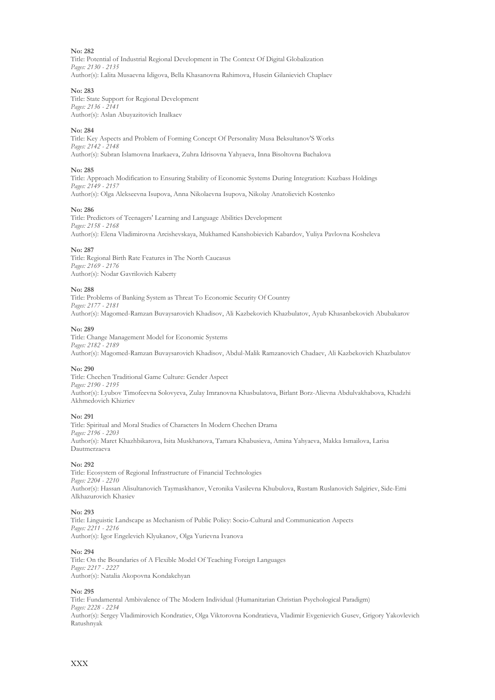Title: Potential of Industrial Regional Development in The Context Of Digital Globalization *Pages: 2130 - 2135* Author(s): Lalita Musaevna Idigova, Bella Khasanovna Rahimova, Husein Gilanievich Chaplaev

#### **No: 283**

Title: State Support for Regional Development *Pages: 2136 - 2141* Author(s): Aslan Abuyazitovich Inalkaev

#### **No: 284**

Title: Key Aspects and Problem of Forming Concept Of Personality Musa Beksultanov'S Works *Pages: 2142 - 2148*

Author(s): Subran Islamovna Inarkaeva, Zuhra Idrisovna Yahyaeva, Inna Bisoltovna Bachalova

#### **No: 285**

Title: Approach Modification to Ensuring Stability of Economic Systems During Integration: Kuzbass Holdings *Pages: 2149 - 2157* Author(s): Olga Alekseevna Isupova, Anna Nikolaevna Isupova, Nikolay Anatoliеvich Kostenko

#### **No: 286**

Title: Predictors of Teenagers' Learning and Language Abilities Development *Pages: 2158 - 2168* Author(s): Elena Vladimirovna Arcishevskaya, Mukhamed Kanshobievich Kabardov, Yuliya Pavlovna Kosheleva

#### **No: 287**

Title: Regional Birth Rate Features in The North Caucasus *Pages: 2169 - 2176* Author(s): Nodar Gavrilovich Kaberty

#### **No: 288**

Title: Problems of Banking System as Threat To Economic Security Of Country *Pages: 2177 - 2181* Author(s): Magomed-Ramzan Buvaysarovich Khadisov, Ali Kazbekovich Khazbulatov, Ayub Khasanbekovich Abubakarov

#### **No: 289**

Title: Change Management Model for Economic Systems *Pages: 2182 - 2189* Author(s): Magomed-Ramzan Buvaysarovich Khadisov, Abdul-Malik Ramzanovich Chadaev, Ali Kazbekovich Khazbulatov

#### **No: 290**

Title: Chechen Traditional Game Culture: Gender Aspect *Pages: 2190 - 2195* Author(s): Lyubov Timofeevna Solovyeva, Zulay Imranovna Khasbulatova, Birlant Borz-Alievna Abdulvakhabova, Khadzhi Akhmedovich Khizriev

#### **No: 291**

Title: Spiritual and Moral Studies of Characters In Modern Chechen Drama *Pages: 2196 - 2203* Author(s): Maret Khazhbikarova, Isita Muskhanova, Tamara Khabusieva, Amina Yahyaeva, Makka Ismailova, Larisa Dautmerzaeva

#### **No: 292**

Title: Ecosystem of Regional Infrastructure of Financial Technologies *Pages: 2204 - 2210* Author(s): Hassan Alisultanovich Taymaskhanov, Veronika Vasilevna Khubulova, Rustam Ruslanovich Salgiriev, Side-Emi Alkhazurovich Khasiev

#### **No: 293**

Title: Linguistic Landscape as Mechanism of Public Policy: Socio-Cultural and Communication Aspects *Pages: 2211 - 2216* Author(s): Igor Engelevich Klyukanov, Olga Yurievna Ivanova

#### **No: 294**

Title: On the Boundaries of A Flexible Model Of Teaching Foreign Languages *Pages: 2217 - 2227* Author(s): Natalia Akopovna Kondakchyan

#### **No: 295**

Title: Fundamental Ambivalence of The Modern Individual (Humanitarian Christian Psychological Paradigm) *Pages: 2228 - 2234* Author(s): Sergey Vladimirovich Kondratiev, Olga Viktorovna Kondratieva, Vladimir Evgenievich Gusev, Grigory Yakovlevich Ratushnyak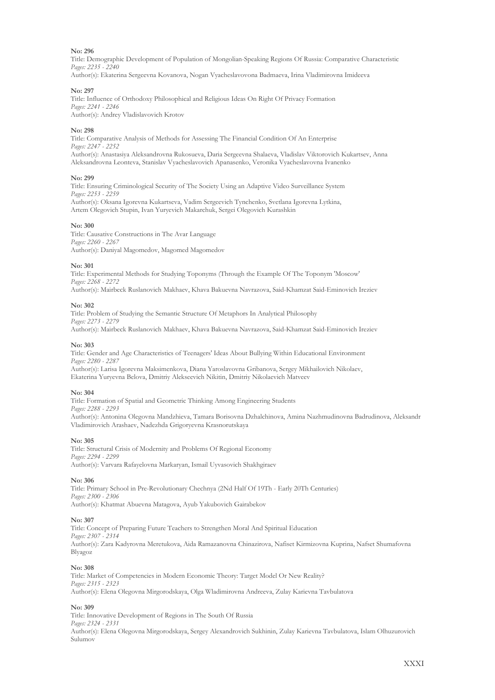Title: Demographic Development of Population of Mongolian-Speaking Regions Of Russia: Comparative Characteristic *Pages: 2235 - 2240*

Author(s): Ekaterina Sergeevna Kovanova, Nogan Vyacheslavovona Badmaeva, Irina Vladimirovna Imideeva

#### **No: 297**

Title: Influence of Orthodoxy Philosophical and Religious Ideas On Right Of Privacy Formation *Pages: 2241 - 2246*

Author(s): Andrey Vladislavovich Krotov

#### **No: 298**

Title: Comparative Analysis of Methods for Assessing The Financial Condition Of An Enterprise *Pages: 2247 - 2252* Author(s): Anastasiya Aleksandrovna Rukosueva, Daria Sergeevna Shalaeva, Vladislav Viktorovich Kukartsev, Anna Aleksandrovna Leonteva, Stanislav Vyacheslavovich Apanasenko, Veronika Vyacheslavovna Ivanenko

#### **No: 299**

Title: Ensuring Criminological Security of The Society Using an Adaptive Video Surveillance System *Pages: 2253 - 2259* Author(s): Oksana Igorevna Kukartseva, Vadim Sergeevich Tynchenko, Svetlana Igorevna Lytkina, Artem Olegovich Stupin, Ivan Yuryevich Makarchuk, Sergei Olegovich Kurashkin

#### **No: 300**

Title: Causative Constructions in The Avar Language *Pages: 2260 - 2267* Author(s): Daniyal Magomedov, Magomed Magomedov

#### **No: 301**

Title: Experimental Methods for Studying Toponyms (Through the Example Of The Toponym 'Moscow' *Pages: 2268 - 2272*

Author(s): Mairbeck Ruslanovich Makhaev, Khava Bakuevna Navrazova, Said-Khamzat Said-Eminovich Ireziev

#### **No: 302**

Title: Problem of Studying the Semantic Structure Of Metaphors In Analytical Philosophy *Pages: 2273 - 2279* Author(s): Mairbeck Ruslanovich Makhaev, Khava Bakuevna Navrazova, Said-Khamzat Said-Eminovich Ireziev

#### **No: 303**

Title: Gender and Age Characteristics of Teenagers' Ideas About Bullying Within Educational Environment *Pages: 2280 - 2287* Author(s): Larisa Igorevna Maksimenkova, Diana Yaroslavovna Gribanova, Sergey Mikhailovich Nikolaev,

Ekaterina Yuryevna Belova, Dmitriy Alekseevich Nikitin, Dmitriy Nikolaevich Matveev

#### **No: 304**

Title: Formation of Spatial and Geometric Thinking Among Engineering Students *Pages: 2288 - 2293* Author(s): Antonina Olegovna Mandzhieva, Tamara Borisovna Dzhalchinova, Amina Nazhmudinovna Badrudinova, Aleksandr Vladimirovich Arashaev, Nadezhda Grigoryevna Krasnorutskaya

#### **No: 305**

Title: Structural Crisis of Modernity and Problems Of Regional Economy *Pages: 2294 - 2299* Author(s): Varvara Rafayelovna Markaryan, Ismail Uyvasovich Shakhgiraev

**No: 306**

Title: Primary School in Pre-Revolutionary Chechnya (2Nd Half Of 19Th - Early 20Th Centuries) *Pages: 2300 - 2306* Author(s): Khatmat Abuevna Matagova, Ayub Yakubovich Gairabekov

#### **No: 307**

Title: Concept of Preparing Future Teachers to Strengthen Moral And Spiritual Education *Pages: 2307 - 2314* Author(s): Zara Kadyrovna Meretukova, Aida Ramazanovna Chinazirova, Nafiset Kirmizovna Kuprina, Nafset Shumafovna Blyagoz

### **No: 308**

Title: Market of Competencies in Modern Economic Theory: Target Model Or New Reality? *Pages: 2315 - 2323* Author(s): Elena Olegovna Mirgorodskaya, Olga Wladimirovna Andreeva, Zulay Karievna Tavbulatova

#### **No: 309**

Title: Innovative Development of Regions in The South Of Russia *Pages: 2324 - 2331* Author(s): Elena Olegovna Mirgorodskaya, Sergey Alexandrovich Sukhinin, Zulay Karievna Tavbulatova, Islam Olhuzurovich Sulumov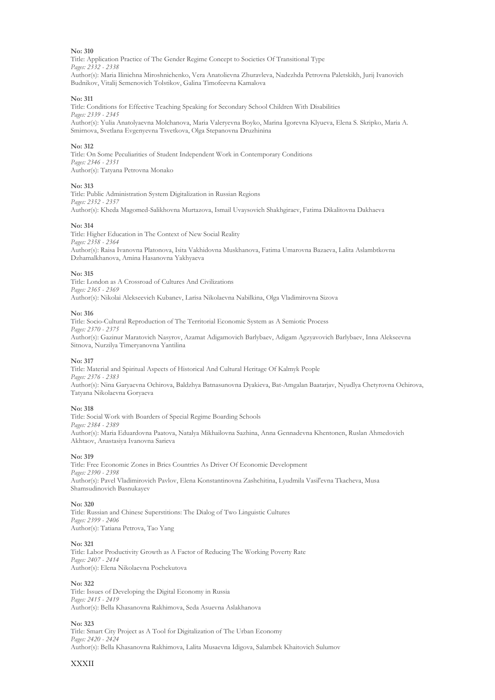Title: Application Practice of The Gender Regime Concept to Societies Of Transitional Type *Pages: 2332 - 2338* Author(s): Maria Ilinichna Miroshnichenko, Vera Anatolievna Zhuravleva, Nadezhda Petrovna Paletskikh, Jurij Ivanovich Budnikov, Vitalij Semenovich Tolstikov, Galina Timofeevna Kamalova

#### **No: 311**

Title: Conditions for Effective Teaching Speaking for Secondary School Children With Disabilities *Pages: 2339 - 2345* Author(s): Yulia Anatolyaevna Molchanova, Maria Valeryevna Boyko, Marina Igorevna Klyueva, Elena S. Skripko, Maria A. Smirnova, Svetlana Evgenyevna Tsvetkova, Olga Stepanovna Druzhinina

#### **No: 312**

Title: On Some Peculiarities of Student Independent Work in Contemporary Conditions *Pages: 2346 - 2351* Author(s): Tatyana Petrovna Monako

#### **No: 313**

Title: Public Administration System Digitalization in Russian Regions *Pages: 2352 - 2357* Author(s): Kheda Magomed-Salikhovna Murtazova, Ismail Uvaysovich Shakhgiraev, Fatima Dikalitovna Dakhaeva

#### **No: 314**

Title: Higher Education in The Context of New Social Reality *Pages: 2358 - 2364* Author(s): Raisa Ivanovna Platonova, Isita Vakhidovna Muskhanova, Fatima Umarovna Bazaeva, Lalita Aslambtkovna Dzhamalkhanova, Amina Hasanovna Yakhyaeva

#### **No: 315**

Title: London as A Crossroad of Cultures And Civilizations *Pages: 2365 - 2369* Author(s): Nikolai Alekseevich Kubanev, Larisa Nikolaevna Nabilkina, Olga Vladimirovna Sizova

#### **No: 316**

Title: Socio-Cultural Reproduction of The Territorial Economic System as A Semiotic Process *Pages: 2370 - 2375* Author(s): Gazinur Maratovich Nasyrov, Azamat Adigamovich Barlybaev, Adigam Agzyavovich Barlybaev, Inna Alekseevna Sitnova, Nurzilya Timeryanovna Yantilina

#### **No: 317**

Title: Material and Spiritual Aspects of Historical And Cultural Heritage Of Kalmyk People *Pages: 2376 - 2383* Author(s): Nina Garyaevna Ochirova, Baldzhya Batnasunovna Dyakieva, Bat-Amgalan Baatarjav, Nyudlya Chetyrovna Ochirova, Tatyana Nikolaevna Goryaeva

#### **No: 318**

Title: Social Work with Boarders of Special Regime Boarding Schools *Pages: 2384 - 2389* Author(s): Maria Eduardovna Paatova, Natalya Mikhailovna Sazhina, Anna Gennadevna Khentonen, Ruslan Ahmedovich Akhtaov, Anastasiya Ivanovna Sarieva

#### **No: 319**

Title: Free Economic Zones in Brics Countries As Driver Of Economic Development *Pages: 2390 - 2398* Author(s): Pavel Vladimirovich Pavlov, Elena Konstantinovna Zashchitina, Lyudmila Vasil'evna Tkacheva, Musa Shamsudinovich Basnukayev

#### **No: 320**

Title: Russian and Chinese Superstitions: The Dialog of Two Linguistic Cultures *Pages: 2399 - 2406* Author(s): Tatiana Petrova, Tao Yang

#### **No: 321**

Title: Labor Productivity Growth as A Factor of Reducing The Working Poverty Rate *Pages: 2407 - 2414* Author(s): Elena Nikolaevna Pochekutova

#### **No: 322**

Title: Issues of Developing the Digital Economy in Russia *Pages: 2415 - 2419* Author(s): Bella Khasanovna Rakhimova, Seda Asuevna Aslakhanova

#### **No: 323**

Title: Smart City Project as A Tool for Digitalization of The Urban Economy *Pages: 2420 - 2424* Author(s): Bella Khasanovna Rakhimova, Lalita Musaevna Idigova, Salambek Khaitovich Sulumov

#### **XXXII**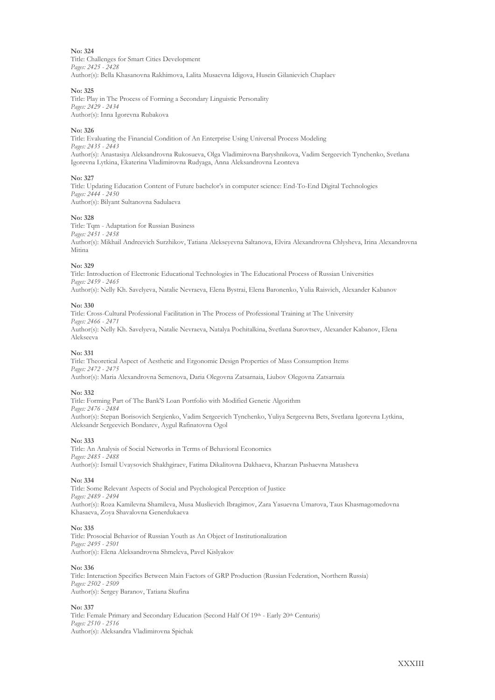#### **No: 324** Title: Challenges for Smart Cities Development *Pages: 2425 - 2428* Author(s): Bella Khasanovna Rakhimova, Lalita Musaevna Idigova, Husein Gilanievich Chaplaev

#### **No: 325**

Title: Play in The Process of Forming a Secondary Linguistic Personality *Pages: 2429 - 2434* Author(s): Inna Igorevna Rubakova

#### **No: 326**

Title: Evaluating the Financial Condition of An Enterprise Using Universal Process Modeling *Pages: 2435 - 2443* Author(s): Anastasiya Aleksandrovna Rukosueva, Olga Vladimirovna Baryshnikova, Vadim Sergeevich Tynchenko, Svetlana Igorevna Lytkina, Ekaterina Vladimirovna Rudyaga, Anna Aleksandrovna Leonteva

#### **No: 327**

Title: Updating Education Content of Future bachelor's in computer science: End-To-End Digital Technologies *Pages: 2444 - 2450* Author(s): Bilyant Sultanovna Sadulaeva

#### **No: 328**

Title: Tqm - Adaptation for Russian Business *Pages: 2451 - 2458* Author(s): Mikhail Andreevich Surzhikov, Tatiana Alekseyevna Saltanova, Elvira Alexandrovna Chlysheva, Irina Alexandrovna Mitina

#### **No: 329**

Title: Introduction of Electronic Educational Technologies in The Educational Process of Russian Universities *Pages: 2459 - 2465* Author(s): Nelly Kh. Savelyeva, Natalie Nevraeva, Elena Bystrai, Elena Baronenko, Yulia Raisvich, Alexander Kabanov

#### **No: 330**

Title: Cross-Cultural Professional Facilitation in The Process of Professional Training at The University *Pages: 2466 - 2471* Author(s): Nelly Kh. Savelyeva, Natalie Nevraeva, Natalya Pochitalkina, Svetlana Surovtsev, Alexander Kabanov, Elena Alekseeva

#### **No: 331**

Title: Theoretical Aspect of Aesthetic and Ergonomic Design Properties of Mass Consumption Items *Pages: 2472 - 2475* Author(s): Maria Alexandrovna Semenova, Daria Olegovna Zatsarnaia, Liubov Olegovna Zatsarnaia

#### **No: 332**

Title: Forming Part of The Bank'S Loan Portfolio with Modified Genetic Algorithm *Pages: 2476 - 2484* Author(s): Stepan Borisovich Sergienko, Vadim Sergeevich Tynchenko, Yuliya Sergeevna Bets, Svetlana Igorevna Lytkina, Aleksandr Sergeevich Bondarev, Aygul Rafinatovna Ogol

#### **No: 333**

Title: An Analysis of Social Networks in Terms of Behavioral Economics *Pages: 2485 - 2488* Author(s): Ismail Uvaysovich Shakhgiraev, Fatima Dikalitovna Dakhaeva, Kharzan Pashaevna Matasheva

#### **No: 334**

Title: Some Relevant Aspects of Social and Psychological Perception of Justice *Pages: 2489 - 2494* Author(s): Roza Kamilevna Shamileva, Musa Muslievich Ibragimov, Zara Yasuevna Umarova, Taus Khasmagomedovna Khasaeva, Zoya Shavalovna Generdukaeva

#### **No: 335**

Title: Prosocial Behavior of Russian Youth as An Object of Institutionalization *Pages: 2495 - 2501* Author(s): Elena Aleksandrovna Shmeleva, Pavel Kislyakov

**No: 336**

Title: Interaction Specifics Between Main Factors of GRP Production (Russian Federation, Northern Russia) *Pages: 2502 - 2509* Author(s): Sergey Baranov, Tatiana Skufina

#### **No: 337**

Title: Female Primary and Secondary Education (Second Half Of 19th - Early 20th Centuris) *Pages: 2510 - 2516* Author(s): Aleksandra Vladimirovna Spichak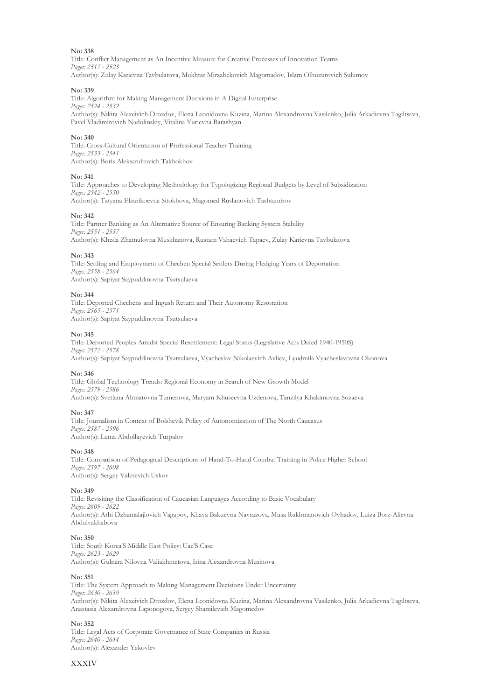Title: Conflict Management as An Incentive Measure for Creative Processes of Innovation Teams *Pages: 2517 - 2523* Author(s): Zulay Karievna Tavbulatova, Mukhtar Mirzabekovich Magomadov, Islam Olhuzurovich Sulumov

#### **No: 339**

Title: Algorithm for Making Management Decisions in A Digital Enterprise *Pages: 2524 - 2532* Author(s): Nikita Alexeivich Drozdov, Elena Leonidovna Kuzina, Marina Alexandrovna Vasilenko, Julia Arkadievna Tagiltseva, Pavel Vladimirovich Nadolinskiy, Vitalina Yurievna Barashyan

#### **No: 340**

Title: Cross-Cultural Orientation of Professional Teacher Training *Pages: 2533 - 2541* Author(s): Boris Aleksandrovich Takhokhov

#### **No: 341**

Title: Approaches to Developing Methodology for Typologizing Regional Budgets by Level of Subsidization *Pages: 2542 - 2550* Author(s): Tatyana Elzarikoevna Sitokhova, Magomed Ruslanovich Tashtamirov

#### **No: 342**

Title: Partner Banking as An Alternative Source of Ensuring Banking System Stability *Pages: 2551 - 2557* Author(s): Kheda Zhamulovna Muskhanova, Rustam Vahaevich Tapaev, Zulay Karievna Tavbulatova

#### **No: 343**

Title: Settling and Employment of Chechen Special Settlers During Fledging Years of Deportation *Pages: 2558 - 2564* Author(s): Sapiyat Saypuddinovna Tsutsulaeva

#### **No: 344**

Title: Deported Chechens and Ingush Return and Their Autonomy Restoration *Pages: 2565 - 2571* Author(s): Sapiyat Saypuddinovna Tsutsulaeva

#### **No: 345**

Title: Deported Peoples Amidst Special Resettlement: Legal Status (Legislative Acts Dated 1940-1950S) *Pages: 2572 - 2578* Author(s): Sapiyat Saypuddinovna Tsutsulaeva, Vyacheslav Nikolaevich Avliev, Lyudmila Vyacheslavovna Okonova

#### **No: 346**

Title: Global Technology Trends: Regional Economy in Search of New Growth Model *Pages: 2579 - 2586* Author(s): Svetlana Ahmatovna Tumenova, Maryam Khuseevna Uzdenova, Tanzilya Khakimovna Sozaeva

#### **No: 347**

Title: Journalism in Context of Bolshevik Policy of Autonomization of The North Caucasus *Pages: 2587 - 2596* Author(s): Lema Abdollayevich Turpalov

#### **No: 348**

Title: Comparison of Pedagogical Descriptions of Hand-To-Hand Combat Training in Police Higher School *Pages: 2597 - 2608* Author(s): Sergey Valerevich Uskov

#### **No: 349**

Title: Revisiting the Classification of Caucasian Languages According to Basic Vocabulary *Pages: 2609 - 2622* Author(s): Arbi Dzhamalajlovich Vagapov, Khava Bakuevna Navrazova, Musa Rukhmanovich Ovhadov, Luiza Borz-Alievna Abdulvakhabova

#### **No: 350**

Title: South Korea'S Middle East Policy: Uae'S Case *Pages: 2623 - 2629* Author(s): Gulnara Nilovna Valiakhmetova, Irina Alexandrovna Musinova

#### **No: 351**

Title: The System Approach to Making Management Decisions Under Uncertainty *Pages: 2630 - 2639* Author(s): Nikita Alexeivich Drozdov, Elena Leonidovna Kuzina, Marina Alexandrovna Vasilenko, Julia Arkadievna Tagiltseva, Anastasia Alexandrovna Laponogova, Sergey Shamilevich Magomedov

#### **No: 352**

Title: Legal Acts of Corporate Governance of State Companies in Russia *Pages: 2640 - 2644* Author(s): Alexander Yakovlev

#### XXXIV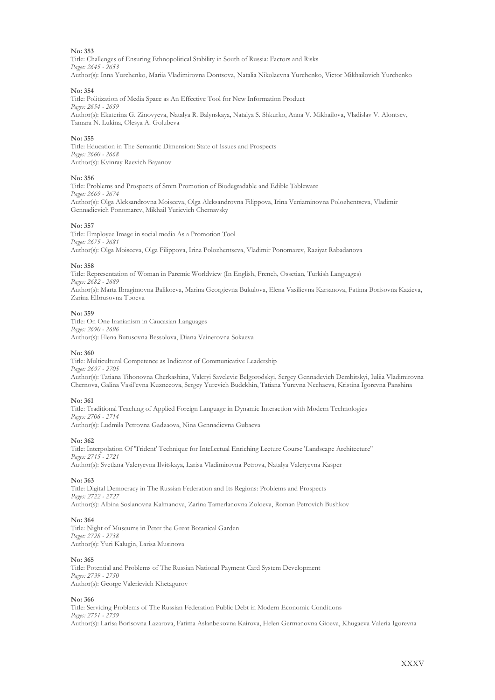Title: Challenges of Ensuring Ethnopolitical Stability in South of Russia: Factors and Risks *Pages: 2645 - 2653* Author(s): Inna Yurchenko, Mariia Vladimirovna Dontsova, Natalia Nikolaevna Yurchenko, Victor Mikhailovich Yurchenko

#### **No: 354**

Title: Politization of Media Space as An Effective Tool for New Information Product *Pages: 2654 - 2659* Author(s): Ekaterina G. Zinovyeva, Natalya R. Balynskaya, Natalya S. Shkurko, Anna V. Mikhailova, Vladislav V. Alontsev, Tamara N. Lukina, Olesya A. Golubeva

#### **No: 355**

Title: Education in The Semantic Dimension: State of Issues and Prospects *Pages: 2660 - 2668* Author(s): Kvinray Raevich Bayanov

#### **No: 356**

Title: Problems and Prospects of Smm Promotion of Biodegradable and Edible Tableware *Pages: 2669 - 2674* Author(s): Olga Aleksandrovna Moiseeva, Olga Aleksandrovna Filippova, Irina Veniaminovna Polozhentseva, Vladimir Gennadievich Ponomarev, Mikhail Yurievich Chernavsky

#### **No: 357**

Title: Employee Image in social media As a Promotion Tool *Pages: 2675 - 2681* Author(s): Olga Moiseeva, Olga Filippova, Irina Polozhentseva, Vladimir Ponomarev, Raziyat Rabadanova

#### **No: 358**

Title: Representation of Woman in Paremic Worldview (In English, French, Ossetian, Turkish Languages) *Pages: 2682 - 2689* Author(s): Marta Ibragimovna Balikoeva, Marina Georgievna Bukulova, Elena Vasilievna Karsanova, Fatima Borisovna Kazieva, Zarina Elbrusovna Tboeva

#### **No: 359**

Title: On One Iranianism in Caucasian Languages *Pages: 2690 - 2696* Author(s): Elena Butusovna Bessolova, Diana Vainerovna Sokaeva

#### **No: 360**

Title: Multicultural Competence as Indicator of Communicative Leadership *Pages: 2697 - 2705* Author(s): Tatiana Tihonovna Cherkashina, Valeryi Savelevic Belgorodskyi, Sergey Gennadevich Dembitskyi, Iuliia Vladimirovna Chernova, Galina Vasil'evna Kuznecova, Sergey Yurevich Budekhin, Tatiana Yurevna Nechaeva, Kristina Igorevna Panshina

#### **No: 361**

Title: Traditional Teaching of Applied Foreign Language in Dynamic Interaction with Modern Technologies *Pages: 2706 - 2714* Author(s): Ludmila Petrovna Gadzaova, Nina Gennadievna Gubaeva

#### **No: 362**

Title: Interpolation Of 'Trident' Technique for Intellectual Enriching Lecture Course 'Landscape Architecture" *Pages: 2715 - 2721* Author(s): Svetlana Valeryevna Ilvitskaya, Larisa Vladimirovna Petrova, Natalya Valeryevna Kasper

#### **No: 363**

Title: Digital Democracy in The Russian Federation and Its Regions: Problems and Prospects *Pages: 2722 - 2727* Author(s): Albina Soslanovna Kalmanova, Zarina Tamerlanovna Zoloeva, Roman Petrovich Bushkov

#### **No: 364**

Title: Night of Museums in Peter the Great Botanical Garden *Pages: 2728 - 2738* Author(s): Yuri Kalugin, Larisa Musinova

#### **No: 365**

Title: Potential and Problems of The Russian National Payment Card System Development *Pages: 2739 - 2750* Author(s): George Valerievich Khetagurov

#### **No: 366**

Title: Servicing Problems of The Russian Federation Public Debt in Modern Economic Conditions *Pages: 2751 - 2759* Author(s): Larisa Borisovna Lazarova, Fatima Aslanbekovna Kairova, Helen Germanovna Gioeva, Khugaeva Valeria Igorevna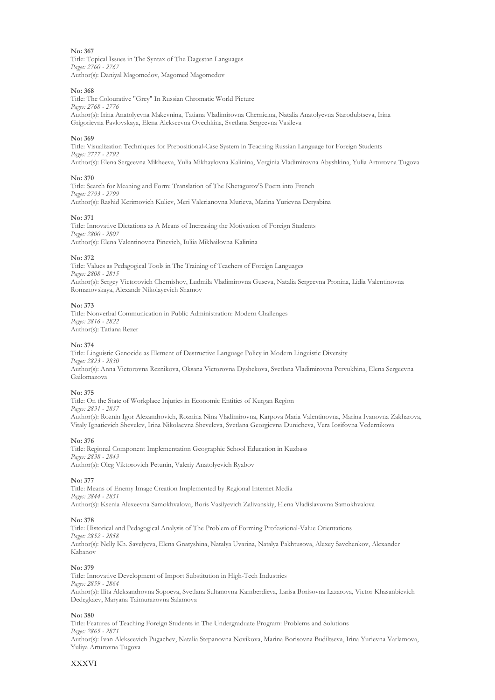Title: Topical Issues in The Syntax of The Dagestan Languages *Pages: 2760 - 2767* Author(s): Daniyal Magomedov, Magomed Magomedov

#### **No: 368**

Title: The Colourative "Grey" In Russian Chromatic World Picture *Pages: 2768 - 2776* Author(s): Irina Anatolyevna Makevnina, Tatiana Vladimirovna Chernicina, Natalia Anatolyevna Starodubtseva, Irina Grigorievna Pavlovskaya, Elena Alekseevna Ovechkina, Svetlana Sergeevna Vasileva

#### **No: 369**

Title: Visualization Techniques for Prepositional-Case System in Teaching Russian Language for Foreign Students *Pages: 2777 - 2792* Author(s): Elena Sergeevna Mikheeva, Yulia Mikhaylovna Kalinina, Verginia Vladimirovna Abyshkina, Yulia Arturovna Tugova

#### **No: 370**

Title: Search for Meaning and Form: Translation of The Khetagurov'S Poem into French *Pages: 2793 - 2799* Author(s): Rashid Kerimovich Kuliev, Meri Valerianovna Murieva, Marina Yurievna Deryabina

#### **No: 371**

Title: Innovative Dictations as A Means of Increasing the Motivation of Foreign Students *Pages: 2800 - 2807* Author(s): Elena Valentinovna Pinevich, Iuliia Mikhailovna Kalinina

#### **No: 372**

Title: Values as Pedagogical Tools in The Training of Teachers of Foreign Languages *Pages: 2808 - 2815* Author(s): Sergey Victorovich Chernishov, Ludmila Vladimirovna Guseva, Natalia Sergeevna Pronina, Lidia Valentinovna Romanovskaya, Alexandr Nikolayevich Shamov

#### **No: 373**

Title: Nonverbal Communication in Public Administration: Modern Challenges *Pages: 2816 - 2822* Author(s): Tatiana Rezer

#### **No: 374**

Title: Linguistic Genocide as Element of Destructive Language Policy in Modern Linguistic Diversity *Pages: 2823 - 2830* Author(s): Anna Victorovna Reznikova, Oksana Victorovna Dyshekova, Svetlana Vladimirovna Pervukhina, Elena Sergeevna Gailomazova

#### **No: 375**

Title: On the State of Workplace Injuries in Economic Entities of Kurgan Region *Pages: 2831 - 2837* Author(s): Roznin Igor Alexandrovich, Roznina Nina Vladimirovna, Karpova Maria Valentinovna, Marina Ivanovna Zakharova, Vitaly Ignatievich Shevelev, Irina Nikolaevna Sheveleva, Svetlana Georgievna Dunicheva, Vera Iosifovna Vedernikova

#### **No: 376**

Title: Regional Component Implementation Geographic School Education in Kuzbass *Pages: 2838 - 2843* Author(s): Oleg Viktorovich Petunin, Valeriy Anatolyevich Ryabov

#### **No: 377**

Title: Means of Enemy Image Creation Implemented by Regional Internet Media *Pages: 2844 - 2851* Author(s): Ksenia Alexeevna Samokhvalova, Boris Vasilyevich Zalivanskiy, Elena Vladislavovna Samokhvalova

#### **No: 378**

Title: Historical and Pedagogical Analysis of The Problem of Forming Professional-Value Orientations *Pages: 2852 - 2858* Author(s): Nelly Kh. Savelyeva, Elena Gnatyshina, Natalya Uvarina, Natalya Pakhtusova, Alexey Savchenkov, Alexander Kabanov

#### **No: 379**

Title: Innovative Development of Import Substitution in High-Tech Industries *Pages: 2859 - 2864* Author(s): Ilita Aleksandrovna Sopoeva, Svetlana Sultanovna Kamberdieva, Larisa Borisovna Lazarova, Victor Khasanbievich Dedegkaev, Maryana Taimurazovna Salamova

#### **No: 380**

Title: Features of Teaching Foreign Students in The Undergraduate Program: Problems and Solutions *Pages: 2865 - 2871* Author(s): Ivan Alekseevich Pugachev, Natalia Stepanovna Novikova, Marina Borisovna Budiltseva, Irina Yurievna Varlamova, Yuliya Arturovna Tugova

#### XXXVI